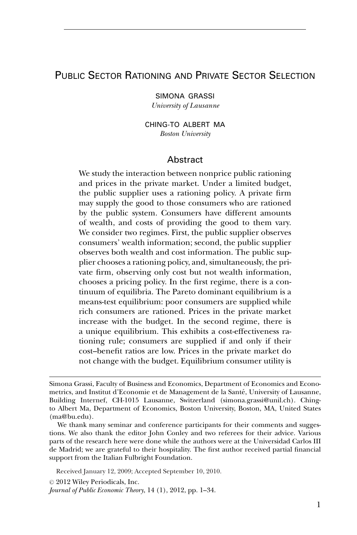# PUBLIC SECTOR RATIONING AND PRIVATE SECTOR SELECTION

SIMONA GRASSI

*University of Lausanne*

CHING-TO ALBERT MA *Boston University*

# **Abstract**

We study the interaction between nonprice public rationing and prices in the private market. Under a limited budget, the public supplier uses a rationing policy. A private firm may supply the good to those consumers who are rationed by the public system. Consumers have different amounts of wealth, and costs of providing the good to them vary. We consider two regimes. First, the public supplier observes consumers' wealth information; second, the public supplier observes both wealth and cost information. The public supplier chooses a rationing policy, and, simultaneously, the private firm, observing only cost but not wealth information, chooses a pricing policy. In the first regime, there is a continuum of equilibria. The Pareto dominant equilibrium is a means-test equilibrium: poor consumers are supplied while rich consumers are rationed. Prices in the private market increase with the budget. In the second regime, there is a unique equilibrium. This exhibits a cost-effectiveness rationing rule; consumers are supplied if and only if their cost–benefit ratios are low. Prices in the private market do not change with the budget. Equilibrium consumer utility is

Received January 12, 2009; Accepted September 10, 2010.

-<sup>C</sup> 2012 Wiley Periodicals, Inc.

Simona Grassi, Faculty of Business and Economics, Department of Economics and Econometrics, and Institut d'Economie et de Management de la Sante, University of Lausanne, ´ Building Internef, CH-1015 Lausanne, Switzerland (simona.grassi@unil.ch). Chingto Albert Ma, Department of Economics, Boston University, Boston, MA, United States (ma@bu.edu).

We thank many seminar and conference participants for their comments and suggestions. We also thank the editor John Conley and two referees for their advice. Various parts of the research here were done while the authors were at the Universidad Carlos III de Madrid; we are grateful to their hospitality. The first author received partial financial support from the Italian Fulbright Foundation.

*Journal of Public Economic Theory*, 14 (1), 2012, pp. 1–34.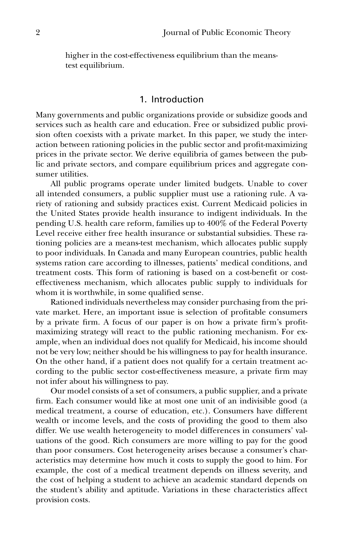higher in the cost-effectiveness equilibrium than the meanstest equilibrium.

# 1. Introduction

Many governments and public organizations provide or subsidize goods and services such as health care and education. Free or subsidized public provision often coexists with a private market. In this paper, we study the interaction between rationing policies in the public sector and profit-maximizing prices in the private sector. We derive equilibria of games between the public and private sectors, and compare equilibrium prices and aggregate consumer utilities.

All public programs operate under limited budgets. Unable to cover all intended consumers, a public supplier must use a rationing rule. A variety of rationing and subsidy practices exist. Current Medicaid policies in the United States provide health insurance to indigent individuals. In the pending U.S. health care reform, families up to 400% of the Federal Poverty Level receive either free health insurance or substantial subsidies. These rationing policies are a means-test mechanism, which allocates public supply to poor individuals. In Canada and many European countries, public health systems ration care according to illnesses, patients' medical conditions, and treatment costs. This form of rationing is based on a cost-benefit or costeffectiveness mechanism, which allocates public supply to individuals for whom it is worthwhile, in some qualified sense.

Rationed individuals nevertheless may consider purchasing from the private market. Here, an important issue is selection of profitable consumers by a private firm. A focus of our paper is on how a private firm's profitmaximizing strategy will react to the public rationing mechanism. For example, when an individual does not qualify for Medicaid, his income should not be very low; neither should be his willingness to pay for health insurance. On the other hand, if a patient does not qualify for a certain treatment according to the public sector cost-effectiveness measure, a private firm may not infer about his willingness to pay.

Our model consists of a set of consumers, a public supplier, and a private firm. Each consumer would like at most one unit of an indivisible good (a medical treatment, a course of education, etc.). Consumers have different wealth or income levels, and the costs of providing the good to them also differ. We use wealth heterogeneity to model differences in consumers' valuations of the good. Rich consumers are more willing to pay for the good than poor consumers. Cost heterogeneity arises because a consumer's characteristics may determine how much it costs to supply the good to him. For example, the cost of a medical treatment depends on illness severity, and the cost of helping a student to achieve an academic standard depends on the student's ability and aptitude. Variations in these characteristics affect provision costs.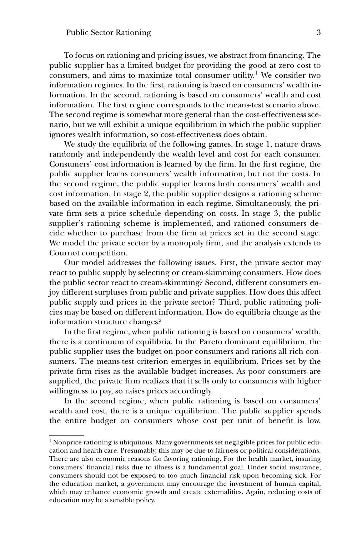To focus on rationing and pricing issues, we abstract from financing. The public supplier has a limited budget for providing the good at zero cost to consumers, and aims to maximize total consumer utility.<sup>1</sup> We consider two information regimes. In the first, rationing is based on consumers' wealth information. In the second, rationing is based on consumers' wealth and cost information. The first regime corresponds to the means-test scenario above. The second regime is somewhat more general than the cost-effectiveness scenario, but we will exhibit a unique equilibrium in which the public supplier ignores wealth information, so cost-effectiveness does obtain.

We study the equilibria of the following games. In stage 1, nature draws randomly and independently the wealth level and cost for each consumer. Consumers' cost information is learned by the firm. In the first regime, the public supplier learns consumers' wealth information, but not the costs. In the second regime, the public supplier learns both consumers' wealth and cost information. In stage 2, the public supplier designs a rationing scheme based on the available information in each regime. Simultaneously, the private firm sets a price schedule depending on costs. In stage 3, the public supplier's rationing scheme is implemented, and rationed consumers decide whether to purchase from the firm at prices set in the second stage. We model the private sector by a monopoly firm, and the analysis extends to Cournot competition.

Our model addresses the following issues. First, the private sector may react to public supply by selecting or cream-skimming consumers. How does the public sector react to cream-skimming? Second, different consumers enjoy different surpluses from public and private supplies. How does this affect public supply and prices in the private sector? Third, public rationing policies may be based on different information. How do equilibria change as the information structure changes?

In the first regime, when public rationing is based on consumers' wealth, there is a continuum of equilibria. In the Pareto dominant equilibrium, the public supplier uses the budget on poor consumers and rations all rich consumers. The means-test criterion emerges in equilibrium. Prices set by the private firm rises as the available budget increases. As poor consumers are supplied, the private firm realizes that it sells only to consumers with higher willingness to pay, so raises prices accordingly.

In the second regime, when public rationing is based on consumers' wealth and cost, there is a unique equilibrium. The public supplier spends the entire budget on consumers whose cost per unit of benefit is low,

<sup>1</sup> Nonprice rationing is ubiquitous. Many governments set negligible prices for public education and health care. Presumably, this may be due to fairness or political considerations. There are also economic reasons for favoring rationing. For the health market, insuring consumers' financial risks due to illness is a fundamental goal. Under social insurance, consumers should not be exposed to too much financial risk upon becoming sick. For the education market, a government may encourage the investment of human capital, which may enhance economic growth and create externalities. Again, reducing costs of education may be a sensible policy.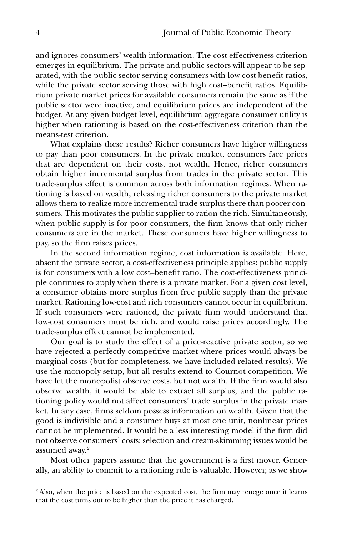and ignores consumers' wealth information. The cost-effectiveness criterion emerges in equilibrium. The private and public sectors will appear to be separated, with the public sector serving consumers with low cost-benefit ratios, while the private sector serving those with high cost–benefit ratios. Equilibrium private market prices for available consumers remain the same as if the public sector were inactive, and equilibrium prices are independent of the budget. At any given budget level, equilibrium aggregate consumer utility is higher when rationing is based on the cost-effectiveness criterion than the means-test criterion.

What explains these results? Richer consumers have higher willingness to pay than poor consumers. In the private market, consumers face prices that are dependent on their costs, not wealth. Hence, richer consumers obtain higher incremental surplus from trades in the private sector. This trade-surplus effect is common across both information regimes. When rationing is based on wealth, releasing richer consumers to the private market allows them to realize more incremental trade surplus there than poorer consumers. This motivates the public supplier to ration the rich. Simultaneously, when public supply is for poor consumers, the firm knows that only richer consumers are in the market. These consumers have higher willingness to pay, so the firm raises prices.

In the second information regime, cost information is available. Here, absent the private sector, a cost-effectiveness principle applies: public supply is for consumers with a low cost–benefit ratio. The cost-effectiveness principle continues to apply when there is a private market. For a given cost level, a consumer obtains more surplus from free public supply than the private market. Rationing low-cost and rich consumers cannot occur in equilibrium. If such consumers were rationed, the private firm would understand that low-cost consumers must be rich, and would raise prices accordingly. The trade-surplus effect cannot be implemented.

Our goal is to study the effect of a price-reactive private sector, so we have rejected a perfectly competitive market where prices would always be marginal costs (but for completeness, we have included related results). We use the monopoly setup, but all results extend to Cournot competition. We have let the monopolist observe costs, but not wealth. If the firm would also observe wealth, it would be able to extract all surplus, and the public rationing policy would not affect consumers' trade surplus in the private market. In any case, firms seldom possess information on wealth. Given that the good is indivisible and a consumer buys at most one unit, nonlinear prices cannot be implemented. It would be a less interesting model if the firm did not observe consumers' costs; selection and cream-skimming issues would be assumed away.<sup>2</sup>

Most other papers assume that the government is a first mover. Generally, an ability to commit to a rationing rule is valuable. However, as we show

 $2^2$  Also, when the price is based on the expected cost, the firm may renege once it learns that the cost turns out to be higher than the price it has charged.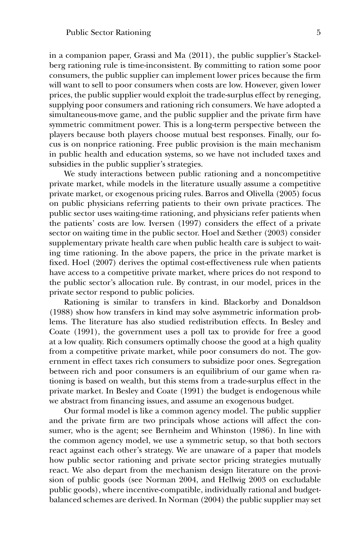in a companion paper, Grassi and Ma (2011), the public supplier's Stackelberg rationing rule is time-inconsistent. By committing to ration some poor consumers, the public supplier can implement lower prices because the firm will want to sell to poor consumers when costs are low. However, given lower prices, the public supplier would exploit the trade-surplus effect by reneging, supplying poor consumers and rationing rich consumers. We have adopted a simultaneous-move game, and the public supplier and the private firm have symmetric commitment power. This is a long-term perspective between the players because both players choose mutual best responses. Finally, our focus is on nonprice rationing. Free public provision is the main mechanism in public health and education systems, so we have not included taxes and subsidies in the public supplier's strategies.

We study interactions between public rationing and a noncompetitive private market, while models in the literature usually assume a competitive private market, or exogenous pricing rules. Barros and Olivella (2005) focus on public physicians referring patients to their own private practices. The public sector uses waiting-time rationing, and physicians refer patients when the patients' costs are low. Iversen (1997) considers the effect of a private sector on waiting time in the public sector. Hoel and Sæther (2003) consider supplementary private health care when public health care is subject to waiting time rationing. In the above papers, the price in the private market is fixed. Hoel (2007) derives the optimal cost-effectiveness rule when patients have access to a competitive private market, where prices do not respond to the public sector's allocation rule. By contrast, in our model, prices in the private sector respond to public policies.

Rationing is similar to transfers in kind. Blackorby and Donaldson (1988) show how transfers in kind may solve asymmetric information problems. The literature has also studied redistribution effects. In Besley and Coate (1991), the government uses a poll tax to provide for free a good at a low quality. Rich consumers optimally choose the good at a high quality from a competitive private market, while poor consumers do not. The government in effect taxes rich consumers to subsidize poor ones. Segregation between rich and poor consumers is an equilibrium of our game when rationing is based on wealth, but this stems from a trade-surplus effect in the private market. In Besley and Coate (1991) the budget is endogenous while we abstract from financing issues, and assume an exogenous budget.

Our formal model is like a common agency model. The public supplier and the private firm are two principals whose actions will affect the consumer, who is the agent; see Bernheim and Whinston (1986). In line with the common agency model, we use a symmetric setup, so that both sectors react against each other's strategy. We are unaware of a paper that models how public sector rationing and private sector pricing strategies mutually react. We also depart from the mechanism design literature on the provision of public goods (see Norman 2004, and Hellwig 2003 on excludable public goods), where incentive-compatible, individually rational and budgetbalanced schemes are derived. In Norman (2004) the public supplier may set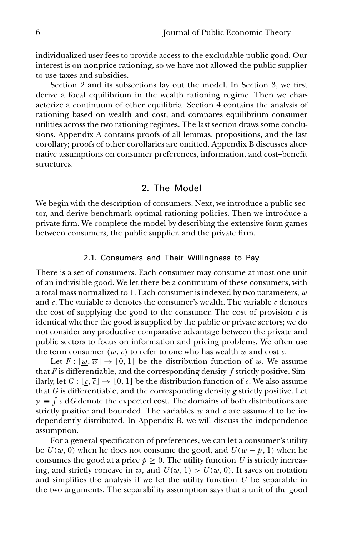individualized user fees to provide access to the excludable public good. Our interest is on nonprice rationing, so we have not allowed the public supplier to use taxes and subsidies.

Section 2 and its subsections lay out the model. In Section 3, we first derive a focal equilibrium in the wealth rationing regime. Then we characterize a continuum of other equilibria. Section 4 contains the analysis of rationing based on wealth and cost, and compares equilibrium consumer utilities across the two rationing regimes. The last section draws some conclusions. Appendix A contains proofs of all lemmas, propositions, and the last corollary; proofs of other corollaries are omitted. Appendix B discusses alternative assumptions on consumer preferences, information, and cost–benefit structures.

## 2. The Model

We begin with the description of consumers. Next, we introduce a public sector, and derive benchmark optimal rationing policies. Then we introduce a private firm. We complete the model by describing the extensive-form games between consumers, the public supplier, and the private firm.

#### 2.1. Consumers and Their Willingness to Pay

There is a set of consumers. Each consumer may consume at most one unit of an indivisible good. We let there be a continuum of these consumers, with a total mass normalized to 1. Each consumer is indexed by two parameters, *w* and *c*. The variable *w* denotes the consumer's wealth. The variable *c* denotes the cost of supplying the good to the consumer. The cost of provision  $c$  is identical whether the good is supplied by the public or private sectors; we do not consider any productive comparative advantage between the private and public sectors to focus on information and pricing problems. We often use the term consumer  $(w, c)$  to refer to one who has wealth  $w$  and cost  $c$ .

Let  $F: [\omega, \overline{\omega}] \to [0, 1]$  be the distribution function of  $\omega$ . We assume that *F* is differentiable, and the corresponding density *f* strictly positive. Similarly, let  $G : [\underline{c}, \overline{c}] \rightarrow [0, 1]$  be the distribution function of *c*. We also assume that *G* is differentiable, and the corresponding density *g* strictly positive. Let  $\gamma \equiv \int c \, dG$  denote the expected cost. The domains of both distributions are strictly positive and bounded. The variables  $w$  and  $c$  are assumed to be independently distributed. In Appendix B, we will discuss the independence assumption.

For a general specification of preferences, we can let a consumer's utility be  $U(w, 0)$  when he does not consume the good, and  $U(w - p, 1)$  when he consumes the good at a price  $p \ge 0$ . The utility function U is strictly increasing, and strictly concave in *w*, and  $U(w, 1) > U(w, 0)$ . It saves on notation and simplifies the analysis if we let the utility function *U* be separable in the two arguments. The separability assumption says that a unit of the good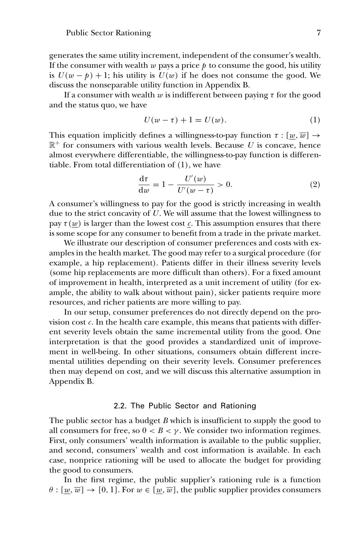generates the same utility increment, independent of the consumer's wealth. If the consumer with wealth  $w$  pays a price  $p$  to consume the good, his utility is  $U(w - p) + 1$ ; his utility is  $U(w)$  if he does not consume the good. We discuss the nonseparable utility function in Appendix B.

If a consumer with wealth  $w$  is indifferent between paying  $\tau$  for the good and the status quo, we have

$$
U(w - \tau) + 1 = U(w). \tag{1}
$$

This equation implicitly defines a willingness-to-pay function  $\tau : [\underline{w}, \overline{w}] \rightarrow$  $\mathbb{R}^+$  for consumers with various wealth levels. Because U is concave, hence almost everywhere differentiable, the willingness-to-pay function is differentiable. From total differentiation of (1), we have

$$
\frac{\mathrm{d}\tau}{\mathrm{d}w} = 1 - \frac{U'(w)}{U'(w-\tau)} > 0.
$$
 (2)

A consumer's willingness to pay for the good is strictly increasing in wealth due to the strict concavity of *U*. We will assume that the lowest willingness to pay  $\tau(\underline{w})$  is larger than the lowest cost  $\underline{c}$ . This assumption ensures that there is some scope for any consumer to benefit from a trade in the private market.

We illustrate our description of consumer preferences and costs with examples in the health market. The good may refer to a surgical procedure (for example, a hip replacement). Patients differ in their illness severity levels (some hip replacements are more difficult than others). For a fixed amount of improvement in health, interpreted as a unit increment of utility (for example, the ability to walk about without pain), sicker patients require more resources, and richer patients are more willing to pay.

In our setup, consumer preferences do not directly depend on the provision cost  $c$ . In the health care example, this means that patients with different severity levels obtain the same incremental utility from the good. One interpretation is that the good provides a standardized unit of improvement in well-being. In other situations, consumers obtain different incremental utilities depending on their severity levels. Consumer preferences then may depend on cost, and we will discuss this alternative assumption in Appendix B.

#### 2.2. The Public Sector and Rationing

The public sector has a budget *B* which is insufficient to supply the good to all consumers for free, so  $0 < B < \gamma$ . We consider two information regimes. First, only consumers' wealth information is available to the public supplier, and second, consumers' wealth and cost information is available. In each case, nonprice rationing will be used to allocate the budget for providing the good to consumers.

In the first regime, the public supplier's rationing rule is a function  $\theta : [w, \overline{w}] \to [0, 1]$ . For  $w \in [w, \overline{w}]$ , the public supplier provides consumers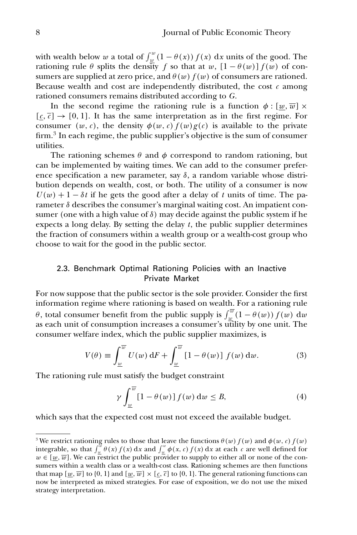with wealth below *w* a total of  $\int_{\underline{w}}^{\underline{w}} (1 - \theta(x)) f(x) dx$  units of the good. The rationing rule  $\theta$  splits the density *f* so that at *w*,  $[1 - \theta(w)] f(w)$  of consumers are supplied at zero price, and  $\theta(w) f(w)$  of consumers are rationed. Because wealth and cost are independently distributed, the cost  $c$  among rationed consumers remains distributed according to *G*.

In the second regime the rationing rule is a function  $\phi : [w, \overline{w}] \times$  $[c, \overline{c}] \rightarrow [0, 1]$ . It has the same interpretation as in the first regime. For consumer  $(w, c)$ , the density  $\phi(w, c) f(w)g(c)$  is available to the private firm.<sup>3</sup> In each regime, the public supplier's objective is the sum of consumer utilities.

The rationing schemes  $\theta$  and  $\phi$  correspond to random rationing, but can be implemented by waiting times. We can add to the consumer preference specification a new parameter, say  $\delta$ , a random variable whose distribution depends on wealth, cost, or both. The utility of a consumer is now  $U(w) + 1 - \delta t$  if he gets the good after a delay of t units of time. The parameter  $\delta$  describes the consumer's marginal waiting cost. An impatient consumer (one with a high value of  $\delta$ ) may decide against the public system if he expects a long delay. By setting the delay *t*, the public supplier determines the fraction of consumers within a wealth group or a wealth-cost group who choose to wait for the good in the public sector.

## 2.3. Benchmark Optimal Rationing Policies with an Inactive Private Market

For now suppose that the public sector is the sole provider. Consider the first information regime where rationing is based on wealth. For a rationing rule  $\theta$ , total consumer benefit from the public supply is  $\int_{\frac{w}{\omega}}^{\overline{w}}(1-\theta(w))f(w) \; \mathrm{d}w$ as each unit of consumption increases a consumer's utility by one unit. The consumer welfare index, which the public supplier maximizes, is

$$
V(\theta) \equiv \int_{\underline{w}}^{\overline{w}} U(w) \, dF + \int_{\underline{w}}^{\overline{w}} [1 - \theta(w)] f(w) \, dw. \tag{3}
$$

The rationing rule must satisfy the budget constraint

$$
\gamma \int_{\frac{w}{}}^{\overline{w}} [1 - \theta(w)] f(w) dw \leq B,
$$
\n(4)

which says that the expected cost must not exceed the available budget.

<sup>&</sup>lt;sup>3</sup> We restrict rationing rules to those that leave the functions  $\theta(w) f(w)$  and  $\phi(w, c) f(w)$ integrable, so that  $\int_{\frac{w}{x}}^{\frac{w}{w}} \theta(x) f(x) dx$  and  $\int_{\frac{w}{x}}^w \phi(x, c) f(x) dx$  at each *c* are well defined for  $w \in [w, \overline{w}]$ . We can restrict the public provider to supply to either all or none of the consumers within a wealth class or a wealth-cost class. Rationing schemes are then functions that map  $[\underline{w}, \overline{w}]$  to  $\{0, 1\}$  and  $[\underline{w}, \overline{w}] \times [\underline{c}, \overline{c}]$  to  $\{0, 1\}$ . The general rationing functions can now be interpreted as mixed strategies. For ease of exposition, we do not use the mixed strategy interpretation.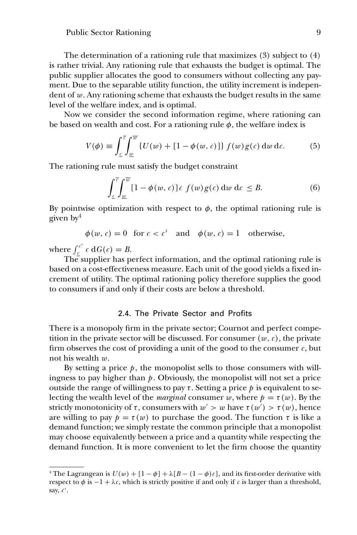Public Sector Rationing 9

The determination of a rationing rule that maximizes (3) subject to (4) is rather trivial. Any rationing rule that exhausts the budget is optimal. The public supplier allocates the good to consumers without collecting any payment. Due to the separable utility function, the utility increment is independent of *w*. Any rationing scheme that exhausts the budget results in the same level of the welfare index, and is optimal.

Now we consider the second information regime, where rationing can be based on wealth and cost. For a rationing rule  $\phi$ , the welfare index is

$$
V(\phi) \equiv \int_{\underline{c}}^{\overline{c}} \int_{\underline{w}}^{\overline{w}} \left\{ U(w) + [1 - \phi(w, c)] \right\} f(w) g(c) \, dw \, dc. \tag{5}
$$

The rationing rule must satisfy the budget constraint

$$
\int_{\underline{c}}^{\overline{c}} \int_{\underline{w}}^{\overline{w}} [1 - \phi(w, c)] c f(w) g(c) dw d c \leq B.
$$
 (6)

By pointwise optimization with respect to  $\phi$ , the optimal rationing rule is given by<sup>4</sup>

 $\phi(w, c) = 0$  for  $c < c^s$  and  $\phi(w, c) = 1$  otherwise,

where  $\int_{\underline{c}}^{c^s} c \, \mathrm{d}G(c) = B$ .

The supplier has perfect information, and the optimal rationing rule is based on a cost-effectiveness measure. Each unit of the good yields a fixed increment of utility. The optimal rationing policy therefore supplies the good to consumers if and only if their costs are below a threshold.

### 2.4. The Private Sector and Profits

There is a monopoly firm in the private sector; Cournot and perfect competition in the private sector will be discussed. For consumer  $(w, c)$ , the private firm observes the cost of providing a unit of the good to the consumer  $c$ , but not his wealth *w*.

By setting a price  $p$ , the monopolist sells to those consumers with willingness to pay higher than  $p$ . Obviously, the monopolist will not set a price outside the range of willingness to pay  $\tau$ . Setting a price  $\dot{p}$  is equivalent to selecting the wealth level of the *marginal* consumer w, where  $p = \tau(w)$ . By the strictly monotonicity of  $\tau$ , consumers with  $w' > w$  have  $\tau(w') > \tau(w)$ , hence are willing to pay  $p = \tau(w)$  to purchase the good. The function  $\tau$  is like a demand function; we simply restate the common principle that a monopolist may choose equivalently between a price and a quantity while respecting the demand function. It is more convenient to let the firm choose the quantity

<sup>&</sup>lt;sup>4</sup> The Lagrangean is  $U(w) + [1 - \phi] + \lambda [B - (1 - \phi)c]$ , and its first-order derivative with respect to  $\phi$  is  $-1 + \lambda c$ , which is strictly positive if and only if *c* is larger than a threshold, say,  $c^s$ .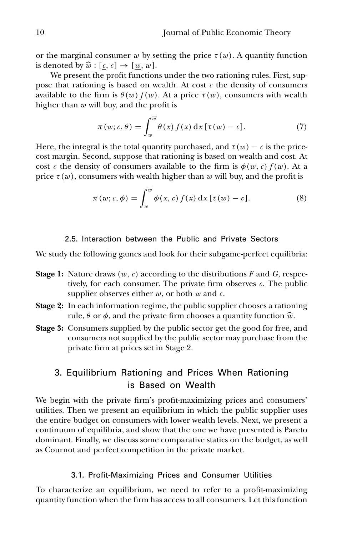or the marginal consumer *w* by setting the price  $\tau(w)$ . A quantity function is denoted by  $\widehat{w} : [\underline{c}, \overline{c}] \to [\underline{w}, \overline{w}].$ 

We present the profit functions under the two rationing rules. First, suppose that rationing is based on wealth. At cost  $c$  the density of consumers available to the firm is  $\theta(w) f(w)$ . At a price  $\tau(w)$ , consumers with wealth higher than *w* will buy, and the profit is

$$
\pi(w; c, \theta) = \int_{w}^{\overline{w}} \theta(x) f(x) dx [\tau(w) - c]. \tag{7}
$$

Here, the integral is the total quantity purchased, and  $\tau(w) - c$  is the pricecost margin. Second, suppose that rationing is based on wealth and cost. At cost *c* the density of consumers available to the firm is  $\phi(w, c) f(w)$ . At a price  $\tau(w)$ , consumers with wealth higher than *w* will buy, and the profit is

$$
\pi(w; c, \phi) = \int_{w}^{\overline{w}} \phi(x, c) f(x) dx [\tau(w) - c]. \tag{8}
$$

#### 2.5. Interaction between the Public and Private Sectors

We study the following games and look for their subgame-perfect equilibria:

- **Stage 1:** Nature draws (*w*,*c*) according to the distributions *F* and *G*, respectively, for each consumer. The private firm observes *c*. The public supplier observes either *w*, or both *w* and *c*.
- **Stage 2:** In each information regime, the public supplier chooses a rationing rule,  $\theta$  or  $\phi$ , and the private firm chooses a quantity function  $\hat{w}$ .
- **Stage 3:** Consumers supplied by the public sector get the good for free, and consumers not supplied by the public sector may purchase from the private firm at prices set in Stage 2.

# 3. Equilibrium Rationing and Prices When Rationing is Based on Wealth

We begin with the private firm's profit-maximizing prices and consumers' utilities. Then we present an equilibrium in which the public supplier uses the entire budget on consumers with lower wealth levels. Next, we present a continuum of equilibria, and show that the one we have presented is Pareto dominant. Finally, we discuss some comparative statics on the budget, as well as Cournot and perfect competition in the private market.

## 3.1. Profit-Maximizing Prices and Consumer Utilities

To characterize an equilibrium, we need to refer to a profit-maximizing quantity function when the firm has access to all consumers. Let this function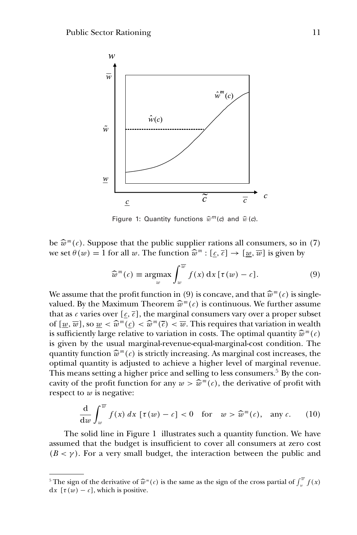

Figure 1: Quantity functions  $\hat{w}^m(c)$  and  $\hat{w}(c)$ .

be  $\hat{\psi}^m(c)$ . Suppose that the public supplier rations all consumers, so in (7) we set  $\theta(w) = 1$  for all *w*. The function  $\hat{\omega}^m : [\underline{c}, \overline{c}] \to [\underline{w}, \overline{w}]$  is given by

$$
\widehat{w}^m(c) \equiv \underset{w}{\operatorname{argmax}} \int_{w}^{\overline{w}} f(x) \, dx \, [\tau(w) - c]. \tag{9}
$$

We assume that the profit function in (9) is concave, and that  $\hat{\psi}^m(c)$  is singlevalued. By the Maximum Theorem  $\widehat{\omega}^m(c)$  is continuous. We further assume that as *c* varies over  $[c, \overline{c}]$ , the marginal consumers vary over a proper subset of  $[w, \overline{w}]$ , so  $w < \hat{w}^m(c) < \hat{w}^m(\overline{c}) < \overline{w}$ . This requires that variation in wealth is sufficiently large relative to variation in costs. The optimal quantity  $\hat{\psi}^m(c)$ is given by the usual marginal-revenue-equal-marginal-cost condition. The quantity function  $\hat{\omega}^m(c)$  is strictly increasing. As marginal cost increases, the optimal quantity is adjusted to achieve a higher level of marginal revenue. This means setting a higher price and selling to less consumers.<sup>5</sup> By the concavity of the profit function for any  $w > \hat{w}^m(c)$ , the derivative of profit with respect to  $w$  is negative:

$$
\frac{\mathrm{d}}{\mathrm{d}w} \int_{w}^{\overline{w}} f(x) \, dx \, [\tau(w) - c] < 0 \quad \text{for} \quad w > \widehat{w}^m(c), \quad \text{any } c. \tag{10}
$$

The solid line in Figure 1 illustrates such a quantity function. We have assumed that the budget is insufficient to cover all consumers at zero cost  $(B \lt \gamma)$ . For a very small budget, the interaction between the public and

<sup>&</sup>lt;sup>5</sup> The sign of the derivative of  $\hat{w}^m(c)$  is the same as the sign of the cross partial of  $\int_{w}^{\overline{w}} f(x)$  $dx$  [ $\tau(w) - c$ ], which is positive.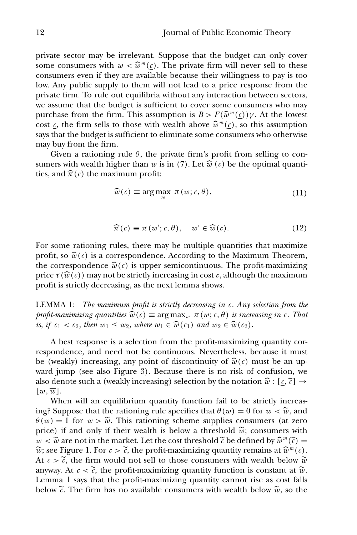private sector may be irrelevant. Suppose that the budget can only cover some consumers with  $w < \hat{w}^m(c)$ . The private firm will never sell to these consumers even if they are available because their willingness to pay is too low. Any public supply to them will not lead to a price response from the private firm. To rule out equilibria without any interaction between sectors, we assume that the budget is sufficient to cover some consumers who may purchase from the firm. This assumption is  $B > F(\hat{\omega}^m(c))\gamma$ . At the lowest cost *c*, the firm sells to those with wealth above  $\hat{\omega}^m(c)$ , so this assumption says that the budget is sufficient to eliminate some consumers who otherwise may buy from the firm.

Given a rationing rule  $\theta$ , the private firm's profit from selling to consumers with wealth higher than *w* is in (7). Let  $\hat{w}(c)$  be the optimal quantities, and  $\hat{\pi}(c)$  the maximum profit:

$$
\widehat{w}(c) \equiv \arg\max_{w} \pi(w; c, \theta), \tag{11}
$$

$$
\widehat{\pi}(c) \equiv \pi(w'; c, \theta), \quad w' \in \widehat{w}(c). \tag{12}
$$

For some rationing rules, there may be multiple quantities that maximize profit, so  $\widehat{w}(c)$  is a correspondence. According to the Maximum Theorem, the correspondence  $\hat{\psi}(c)$  is upper semicontinuous. The profit-maximizing price  $\tau(\widehat{w}(c))$  may not be strictly increasing in cost c, although the maximum profit is strictly decreasing, as the next lemma shows.

LEMMA 1: *The maximum profit is strictly decreasing in c. Any selection from the profit-maximizing quantities*  $\widehat{w}(c) \equiv \arg \max_{w} \pi(w; c, \theta)$  *is increasing in c. That is, if*  $c_1 < c_2$ *, then*  $w_1 < w_2$ *, where*  $w_1 \in \hat{w}(c_1)$  *and*  $w_2 \in \hat{w}(c_2)$ *.* 

A best response is a selection from the profit-maximizing quantity correspondence, and need not be continuous. Nevertheless, because it must be (weakly) increasing, any point of discontinuity of  $\hat{w}(c)$  must be an upward jump (see also Figure 3). Because there is no risk of confusion, we also denote such a (weakly increasing) selection by the notation  $\hat{w} : [\alpha, \overline{c}] \rightarrow$  $\lceil w, \overline{w} \rceil$ .

When will an equilibrium quantity function fail to be strictly increasing? Suppose that the rationing rule specifies that  $\theta(w) = 0$  for  $w < \tilde{w}$ , and  $\theta(w) = 1$  for  $w > \tilde{w}$ . This rationing scheme supplies consumers (at zero price) if and only if their wealth is below a threshold  $\tilde{w}$ ; consumers with  $w < \tilde{w}$  are not in the market. Let the cost threshold  $\tilde{c}$  be defined by  $\hat{w}^m(\tilde{c}) =$  $\widetilde{w}$ ; see Figure 1. For  $c > \widetilde{c}$ , the profit-maximizing quantity remains at  $\widehat{w}^m(c)$ . At  $c > \tilde{c}$ , the firm would not sell to those consumers with wealth below  $\tilde{w}$ anyway. At  $c < \tilde{c}$ , the profit-maximizing quantity function is constant at  $\tilde{w}$ . Lemma 1 says that the profit-maximizing quantity cannot rise as cost falls below  $\tilde{c}$ . The firm has no available consumers with wealth below  $\tilde{w}$ , so the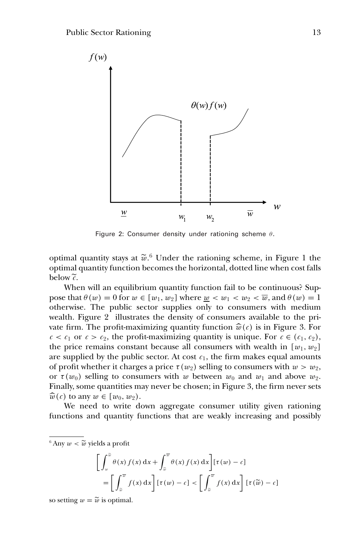

Figure 2: Consumer density under rationing scheme  $\theta$ .

optimal quantity stays at  $\tilde{w}^6$ . Under the rationing scheme, in Figure 1 the optimal quantity function becomes the horizontal, dotted line when cost falls below  $\widetilde{c}$ .

When will an equilibrium quantity function fail to be continuous? Suppose that  $\theta(w) = 0$  for  $w \in [w_1, w_2]$  where  $w \leq w_1 < w_2 < \overline{w}$ , and  $\theta(w) = 1$ otherwise. The public sector supplies only to consumers with medium wealth. Figure 2 illustrates the density of consumers available to the private firm. The profit-maximizing quantity function  $\hat{w}(c)$  is in Figure 3. For  $c < c_1$  or  $c > c_2$ , the profit-maximizing quantity is unique. For  $c \in (c_1, c_2)$ , the price remains constant because all consumers with wealth in  $[w_1, w_2]$ are supplied by the public sector. At cost  $c_1$ , the firm makes equal amounts of profit whether it charges a price  $\tau(w_2)$  selling to consumers with  $w > w_2$ , or  $\tau(w_0)$  selling to consumers with *w* between  $w_0$  and  $w_1$  and above  $w_2$ . Finally, some quantities may never be chosen; in Figure 3, the firm never sets  $\widehat{w}(c)$  to any  $w \in [w_0, w_2)$ .

We need to write down aggregate consumer utility given rationing functions and quantity functions that are weakly increasing and possibly

 $6$  Any  $w < \tilde{w}$  yields a profit

$$
\left[\int_{w}^{\widetilde{w}} \theta(x) f(x) dx + \int_{\widetilde{w}}^{\overline{w}} \theta(x) f(x) dx\right] [\tau(w) - c]
$$
\n
$$
= \left[\int_{\widetilde{w}}^{\overline{w}} f(x) dx\right] [\tau(w) - c] < \left[\int_{\widetilde{w}}^{\overline{w}} f(x) dx\right] [\tau(\widetilde{w}) - c]
$$

so setting  $w = \tilde{w}$  is optimal.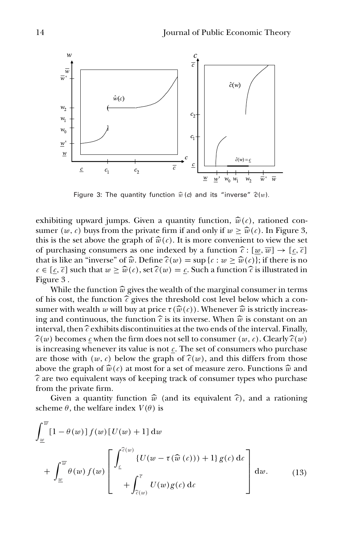

Figure 3: The quantity function  $\hat{w}$  (*c*) and its "inverse"  $\hat{c}(w)$ .

exhibiting upward jumps. Given a quantity function,  $\hat{w}(c)$ , rationed consumer (*w*, *c*) buys from the private firm if and only if  $w \ge \hat{w}(c)$ . In Figure 3, this is the set above the graph of  $\hat{w}(c)$ . It is more convenient to view the set of purchasing consumers as one indexed by a function  $\hat{c} : [w, \overline{w}] \rightarrow [c, \overline{c}]$ that is like an "inverse" of  $\hat{w}$ . Define  $\hat{c}(w) = \sup\{c : w \geq \hat{w}(c)\}\;$  if there is no  $c \in [c, \overline{c}]$  such that  $w \ge \widehat{w}(c)$ , set  $\widehat{c}(w) = c$ . Such a function  $\widehat{c}$  is illustrated in Figure 3 .

While the function  $\hat{w}$  gives the wealth of the marginal consumer in terms of his cost, the function  $\hat{c}$  gives the threshold cost level below which a consumer with wealth *w* will buy at price  $\tau(\widehat{w}(c))$ . Whenever  $\widehat{w}$  is strictly increasing and continuous, the function  $\hat{c}$  is its inverse. When  $\hat{w}$  is constant on an interval, then  $\hat{c}$  exhibits discontinuities at the two ends of the interval. Finally,  $\hat{c}(w)$  becomes *c* when the firm does not sell to consumer  $(w, c)$ . Clearly  $\hat{c}(w)$ is increasing whenever its value is not *c*. The set of consumers who purchase are those with  $(w, c)$  below the graph of  $\hat{c}(w)$ , and this differs from those above the graph of  $\widehat{w}(c)$  at most for a set of measure zero. Functions  $\widehat{w}$  and *<sup>c</sup>* are two equivalent ways of keeping track of consumer types who purchase from the private firm.

Given a quantity function  $\hat{w}$  (and its equivalent  $\hat{c}$ ), and a rationing scheme  $\theta$ , the welfare index  $V(\theta)$  is

$$
\int_{\underline{w}}^{\overline{w}} [1 - \theta(w)] f(w) [U(w) + 1] dw
$$
\n
$$
+ \int_{\underline{w}}^{\overline{w}} \theta(w) f(w) \left[ \int_{\underline{c}}^{\widehat{c}(w)} \{U(w - \tau(\widehat{w}(c))) + 1\} g(c) dc \right] dw.
$$
\n(13)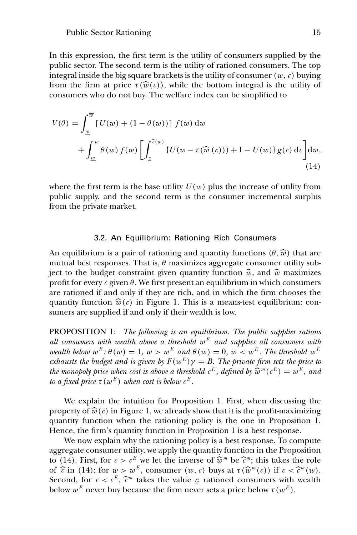In this expression, the first term is the utility of consumers supplied by the public sector. The second term is the utility of rationed consumers. The top integral inside the big square brackets is the utility of consumer (*w*,*c*) buying from the firm at price  $\tau(\widehat{w}(c))$ , while the bottom integral is the utility of consumers who do not buy. The welfare index can be simplified to

$$
V(\theta) = \int_{\frac{w}{\omega}}^{\overline{w}} \left[ U(w) + (1 - \theta(w)) \right] f(w) dw
$$
  
+ 
$$
\int_{\frac{w}{\omega}}^{\overline{w}} \theta(w) f(w) \left[ \int_{\underline{c}}^{\widehat{c}(w)} \left\{ U(w - \tau(\widehat{w}(c))) + 1 - U(w) \right\} g(c) dc \right] dw,
$$
(14)

where the first term is the base utility  $U(w)$  plus the increase of utility from public supply, and the second term is the consumer incremental surplus from the private market.

#### 3.2. An Equilibrium: Rationing Rich Consumers

An equilibrium is a pair of rationing and quantity functions  $(\theta, \hat{\omega})$  that are mutual best responses. That is,  $\theta$  maximizes aggregate consumer utility subject to the budget constraint given quantity function  $\hat{w}$ , and  $\hat{w}$  maximizes profit for every  $c$  given  $\theta$ . We first present an equilibrium in which consumers are rationed if and only if they are rich, and in which the firm chooses the quantity function  $\hat{w}(c)$  in Figure 1. This is a means-test equilibrium: consumers are supplied if and only if their wealth is low.

PROPOSITION 1: *The following is an equilibrium. The public supplier rations all consumers with wealth above a threshold*  $w<sup>E</sup>$  *and supplies all consumers with wealth below*  $w^E$ :  $\theta(w) = 1$ ,  $w > w^E$  *and*  $\theta(w) = 0$ ,  $w < w^E$ . The threshold  $w^E$ *exhausts the budget and is given by*  $F(w^E)\gamma = B$ . The private firm sets the price to *the monopoly price when cost is above a threshold*  $c^E$ *, defined by*  $\hat{\omega}^m(c^E) = \omega^E$ , and *to a fixed price*  $\tau(w^E)$  *when cost is below*  $c^E$ *.* 

We explain the intuition for Proposition 1. First, when discussing the property of  $\hat{w}(c)$  in Figure 1, we already show that it is the profit-maximizing quantity function when the rationing policy is the one in Proposition 1. Hence, the firm's quantity function in Proposition 1 is a best response.

We now explain why the rationing policy is a best response. To compute aggregate consumer utility, we apply the quantity function in the Proposition to (14). First, for  $c > c^E$  we let the inverse of  $\hat{\omega}^m$  be  $\hat{\zeta}^m$ ; this takes the role of  $\hat{c}$  in (14): for  $w > w^E$ , consumer  $(w, c)$  buys at  $\tau(\hat{w}^m(c))$  if  $c < \hat{c}^m(w)$ . Second, for  $c < c^E$ ,  $\hat{c}^m$  takes the value *c*: rationed consumers with wealth below  $w^E$  never buy because the firm never sets a price below  $\tau(w^E)$ .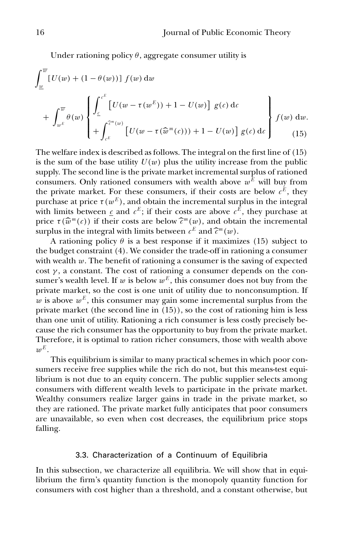Under rationing policy  $\theta$ , aggregate consumer utility is

$$
\int_{\underline{w}}^{\overline{w}} \left[ U(w) + (1 - \theta(w)) \right] f(w) dw
$$
\n
$$
+ \int_{w^E}^{\overline{w}} \theta(w) \left\{ \int_{\underline{c}}^{c^E} \left[ U(w - \tau(w^E)) + 1 - U(w) \right] g(c) dc + \int_{c^E}^{\widehat{c}^m(w)} \left[ U(w - \tau(\widehat{w}^m(c))) + 1 - U(w) \right] g(c) dc \right\} f(w) dw.
$$
\n(15)

The welfare index is described as follows. The integral on the first line of (15) is the sum of the base utility  $U(w)$  plus the utility increase from the public supply. The second line is the private market incremental surplus of rationed consumers. Only rationed consumers with wealth above  $w^{\tilde{E}}$  will buy from the private market. For these consumers, if their costs are below  $c^E$ , they purchase at price  $\tau(w^E)$ , and obtain the incremental surplus in the integral with limits between *c* and  $c^E$ ; if their costs are above  $c^{\overline{E}}$ , they purchase at price  $\tau(\widehat{w}^m(c))$  if their costs are below  $\widehat{c}^m(w)$ , and obtain the incremental surplus in the integral with limits between  $c^E$  and  $\hat{c}^m(w)$ .

A rationing policy  $\theta$  is a best response if it maximizes (15) subject to the budget constraint (4). We consider the trade-off in rationing a consumer with wealth *w*. The benefit of rationing a consumer is the saving of expected cost  $\gamma$ , a constant. The cost of rationing a consumer depends on the consumer's wealth level. If *w* is below  $w<sup>E</sup>$ , this consumer does not buy from the private market, so the cost is one unit of utility due to nonconsumption. If *w* is above  $w^E$ , this consumer may gain some incremental surplus from the private market (the second line in (15)), so the cost of rationing him is less than one unit of utility. Rationing a rich consumer is less costly precisely because the rich consumer has the opportunity to buy from the private market. Therefore, it is optimal to ration richer consumers, those with wealth above  $w^E$ .

This equilibrium is similar to many practical schemes in which poor consumers receive free supplies while the rich do not, but this means-test equilibrium is not due to an equity concern. The public supplier selects among consumers with different wealth levels to participate in the private market. Wealthy consumers realize larger gains in trade in the private market, so they are rationed. The private market fully anticipates that poor consumers are unavailable, so even when cost decreases, the equilibrium price stops falling.

#### 3.3. Characterization of a Continuum of Equilibria

In this subsection, we characterize all equilibria. We will show that in equilibrium the firm's quantity function is the monopoly quantity function for consumers with cost higher than a threshold, and a constant otherwise, but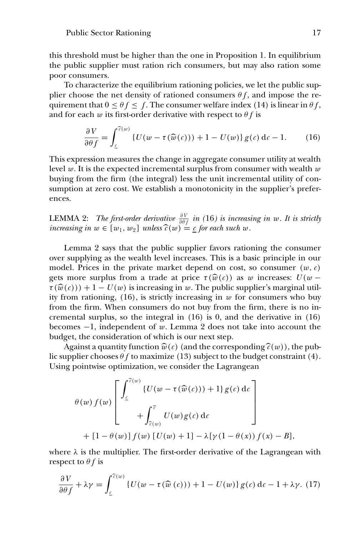this threshold must be higher than the one in Proposition 1. In equilibrium the public supplier must ration rich consumers, but may also ration some poor consumers.

To characterize the equilibrium rationing policies, we let the public supplier choose the net density of rationed consumers  $\theta f$ , and impose the requirement that  $0 \le \theta f \le f$ . The consumer welfare index (14) is linear in  $\theta f$ , and for each *w* its first-order derivative with respect to  $\theta f$  is

$$
\frac{\partial V}{\partial \theta f} = \int_{\underline{c}}^{\widehat{c}(w)} \left\{ U(w - \tau(\widehat{w}(c))) + 1 - U(w) \right\} g(c) \, \mathrm{d}c - 1. \tag{16}
$$

This expression measures the change in aggregate consumer utility at wealth level *w*. It is the expected incremental surplus from consumer with wealth *w* buying from the firm (the integral) less the unit incremental utility of consumption at zero cost. We establish a monotonicity in the supplier's preferences.

LEMMA 2: *The first-order derivative*  $\frac{\partial V}{\partial \theta f}$  *in* (16) *is increasing in w. It is strictly increasing in*  $w \in [w_1, w_2]$  *unless*  $\widehat{c}(w) = c$  *for each such*  $w$ .

Lemma 2 says that the public supplier favors rationing the consumer over supplying as the wealth level increases. This is a basic principle in our model. Prices in the private market depend on cost, so consumer  $(w, c)$ gets more surplus from a trade at price  $\tau(\widehat{w}(c))$  as *w* increases:  $U(w \tau(\widehat{w}(c))$  + 1 –  $U(w)$  is increasing in w. The public supplier's marginal utility from rationing, (16), is strictly increasing in *w* for consumers who buy from the firm. When consumers do not buy from the firm, there is no incremental surplus, so the integral in (16) is 0, and the derivative in (16) becomes −1, independent of *w*. Lemma 2 does not take into account the budget, the consideration of which is our next step.

Against a quantity function  $\hat{w}(c)$  (and the corresponding  $\hat{c}(w)$ ), the public supplier chooses  $\theta f$  to maximize (13) subject to the budget constraint (4). Using pointwise optimization, we consider the Lagrangean

$$
\theta(w) f(w) \left[ \int_{c}^{\widehat{c}(w)} \{ U(w - \tau(\widehat{w}(c))) + 1 \} g(c) \, \mathrm{d}c \right] + \int_{\widehat{c}(w)}^{\overline{c}} U(w) g(c) \, \mathrm{d}c + [1 - \theta(w)] f(w) [U(w) + 1] - \lambda [\gamma(1 - \theta(x)) f(x) - B],
$$

where  $\lambda$  is the multiplier. The first-order derivative of the Lagrangean with respect to  $\theta f$  is

$$
\frac{\partial V}{\partial \theta f} + \lambda \gamma = \int_{\underline{c}}^{\widehat{c}(w)} \left\{ U(w - \tau(\widehat{w}(c))) + 1 - U(w) \right\} g(c) \, \mathrm{d}c - 1 + \lambda \gamma. \tag{17}
$$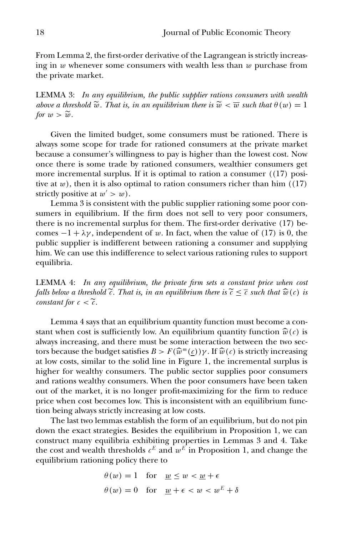From Lemma 2, the first-order derivative of the Lagrangean is strictly increasing in *w* whenever some consumers with wealth less than *w* purchase from the private market.

LEMMA 3: *In any equilibrium, the public supplier rations consumers with wealth above a threshold*  $\widetilde{w}$ . That is, in an equilibrium there is  $\widetilde{w} < \overline{w}$  such that  $\theta(w) = 1$ *for*  $w > \tilde{w}$ .

Given the limited budget, some consumers must be rationed. There is always some scope for trade for rationed consumers at the private market because a consumer's willingness to pay is higher than the lowest cost. Now once there is some trade by rationed consumers, wealthier consumers get more incremental surplus. If it is optimal to ration a consumer ((17) positive at  $w$ ), then it is also optimal to ration consumers richer than him  $(17)$ strictly positive at  $w' > w$ ).

Lemma 3 is consistent with the public supplier rationing some poor consumers in equilibrium. If the firm does not sell to very poor consumers, there is no incremental surplus for them. The first-order derivative (17) becomes  $-1 + \lambda \gamma$ , independent of *w*. In fact, when the value of (17) is 0, the public supplier is indifferent between rationing a consumer and supplying him. We can use this indifference to select various rationing rules to support equilibria.

LEMMA 4: *In any equilibrium, the private firm sets a constant price when cost falls below a threshold*  $\tilde{c}$ . That is, in an equilibrium there is  $\tilde{c} \leq \overline{c}$  such that  $\hat{w}(c)$  is *constant for*  $c < \tilde{c}$ .

Lemma 4 says that an equilibrium quantity function must become a constant when cost is sufficiently low. An equilibrium quantity function  $\hat{w}(c)$  is always increasing, and there must be some interaction between the two sectors because the budget satisfies  $B > F(\hat{w}^m(c))\gamma$ . If  $\hat{w}(c)$  is strictly increasing at low costs, similar to the solid line in Figure 1, the incremental surplus is higher for wealthy consumers. The public sector supplies poor consumers and rations wealthy consumers. When the poor consumers have been taken out of the market, it is no longer profit-maximizing for the firm to reduce price when cost becomes low. This is inconsistent with an equilibrium function being always strictly increasing at low costs.

The last two lemmas establish the form of an equilibrium, but do not pin down the exact strategies. Besides the equilibrium in Proposition 1, we can construct many equilibria exhibiting properties in Lemmas 3 and 4. Take the cost and wealth thresholds  $c^E$  and  $w^E$  in Proposition 1, and change the equilibrium rationing policy there to

$$
\theta(w) = 1 \quad \text{for} \quad \underline{w} \le w < \underline{w} + \epsilon
$$
\n
$$
\theta(w) = 0 \quad \text{for} \quad \underline{w} + \epsilon < w < w^E + \delta
$$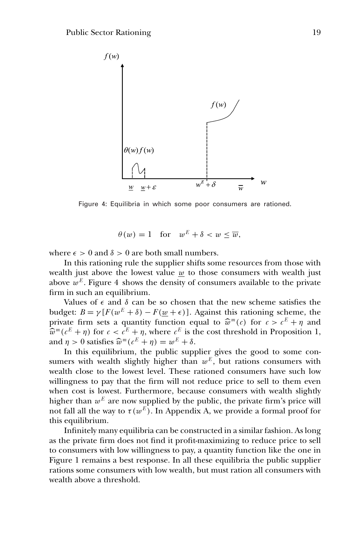

Figure 4: Equilibria in which some poor consumers are rationed.

$$
\theta(w) = 1 \quad \text{for} \quad w^E + \delta < w \leq \overline{w},
$$

where  $\epsilon > 0$  and  $\delta > 0$  are both small numbers.

In this rationing rule the supplier shifts some resources from those with wealth just above the lowest value  $w$  to those consumers with wealth just above  $w^E$ . Figure 4 shows the density of consumers available to the private firm in such an equilibrium.

Values of  $\epsilon$  and  $\delta$  can be so chosen that the new scheme satisfies the budget:  $B = \gamma [F(w^E + \delta) - F(\underline{w} + \epsilon)]$ . Against this rationing scheme, the private firm sets a quantity function equal to  $\hat{\psi}^m(c)$  for  $c > c^E + \eta$  and  $\hat{\psi}^m(c^E + \eta)$  for  $c < c^E + \eta$ , where  $c^E$  is the cost threshold in Proposition 1, and  $\eta > 0$  satisfies  $\widehat{w}^m(c^E + \eta) = w^E + \delta$ .

In this equilibrium, the public supplier gives the good to some consumers with wealth slightly higher than  $w<sup>E</sup>$ , but rations consumers with wealth close to the lowest level. These rationed consumers have such low willingness to pay that the firm will not reduce price to sell to them even when cost is lowest. Furthermore, because consumers with wealth slightly higher than  $w^E$  are now supplied by the public, the private firm's price will not fall all the way to  $\tau(w^E)$ . In Appendix A, we provide a formal proof for this equilibrium.

Infinitely many equilibria can be constructed in a similar fashion. As long as the private firm does not find it profit-maximizing to reduce price to sell to consumers with low willingness to pay, a quantity function like the one in Figure 1 remains a best response. In all these equilibria the public supplier rations some consumers with low wealth, but must ration all consumers with wealth above a threshold.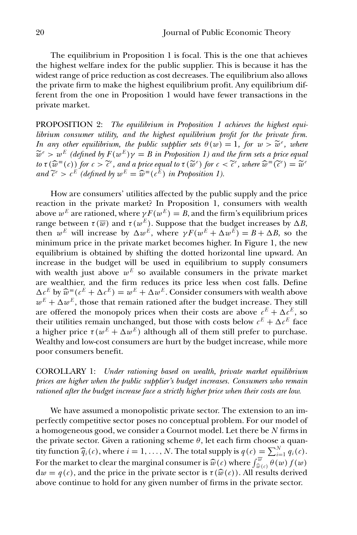The equilibrium in Proposition 1 is focal. This is the one that achieves the highest welfare index for the public supplier. This is because it has the widest range of price reduction as cost decreases. The equilibrium also allows the private firm to make the highest equilibrium profit. Any equilibrium different from the one in Proposition 1 would have fewer transactions in the private market.

PROPOSITION 2: *The equilibrium in Proposition 1 achieves the highest equilibrium consumer utility, and the highest equilibrium profit for the private firm. In any other equilibrium, the public supplier sets*  $\theta(w) = 1$ *, for*  $w > \tilde{w}^e$ *, where*  $\widetilde{w}^e > w^E$  (defined by  $F(w^E)\gamma = B$  in Proposition 1) and the firm sets a price equal *to*  $\tau(\widehat{w}^m(c))$  *for*  $c > \widetilde{c}^e$ *, and a price equal to*  $\tau(\widetilde{w}^e)$  *for*  $c < \widetilde{c}^e$ *, where*  $\widehat{w}^m(\widetilde{c}^e) = \widetilde{w}^e$ *and*  $\widetilde{c}^e > c^E$  *(defined by*  $w^E = \widehat{w}^m(c^E)$  *in Proposition 1).* 

How are consumers' utilities affected by the public supply and the price reaction in the private market? In Proposition 1, consumers with wealth above  $w^E$  are rationed, where  $\gamma F(w^E) = B$ , and the firm's equilibrium prices range between  $\tau(\overline{w})$  and  $\tau(w^E)$ . Suppose that the budget increases by  $\Delta B$ , then  $w^E$  will increase by  $\Delta w^E$ , where  $\gamma F(w^E + \Delta w^E) = B + \Delta B$ , so the minimum price in the private market becomes higher. In Figure 1, the new equilibrium is obtained by shifting the dotted horizontal line upward. An increase in the budget will be used in equilibrium to supply consumers with wealth just above  $w^E$  so available consumers in the private market are wealthier, and the firm reduces its price less when cost falls. Define  $\Delta c^E$  by  $\hat{w}^m(c^E + \Delta c^E) = w^E + \Delta w^E$ . Consider consumers with wealth above  $w^E + \Delta w^E$ , those that remain rationed after the budget increase. They still are offered the monopoly prices when their costs are above  $c^E + \Delta c^E$ , so their utilities remain unchanged, but those with costs below  $c^E + \Delta c^E$  face a higher price  $\tau(w^E + \Delta w^E)$  although all of them still prefer to purchase. Wealthy and low-cost consumers are hurt by the budget increase, while more poor consumers benefit.

COROLLARY 1: *Under rationing based on wealth, private market equilibrium prices are higher when the public supplier's budget increases. Consumers who remain rationed after the budget increase face a strictly higher price when their costs are low.*

We have assumed a monopolistic private sector. The extension to an imperfectly competitive sector poses no conceptual problem. For our model of a homogeneous good, we consider a Cournot model. Let there be *N* firms in the private sector. Given a rationing scheme  $\theta$ , let each firm choose a quantity function  $\widehat{q}_i(c)$ , where  $i = 1, ..., N$ . The total supply is  $q(c) = \sum_{i=1}^{N} q_i(c)$ . For the market to clear the marginal consumer is  $\hat{w}(c)$  where  $\int_{\hat{w}(c)}^{\overline{w}} \theta(w) f(w)$ <br>depends to only the price in the private sector is  $\tau(\hat{w}(c))$ . All woults derived  $dw = q(c)$ , and the price in the private sector is  $\tau(\hat{w}(c))$ . All results derived above continue to hold for any given number of firms in the private sector.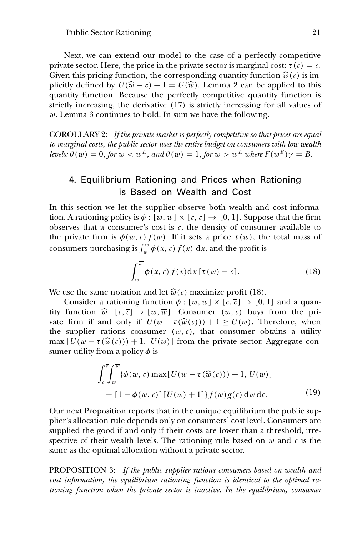Next, we can extend our model to the case of a perfectly competitive private sector. Here, the price in the private sector is marginal cost:  $\tau(c) = c$ . Given this pricing function, the corresponding quantity function  $\hat{w}(c)$  is implicitly defined by  $U(\hat{\omega} - c) + 1 = U(\hat{\omega})$ . Lemma 2 can be applied to this quantity function. Because the perfectly competitive quantity function is strictly increasing, the derivative (17) is strictly increasing for all values of *w*. Lemma 3 continues to hold. In sum we have the following.

COROLLARY 2: *If the private market is perfectly competitive so that prices are equal to marginal costs, the public sector uses the entire budget on consumers with low wealth levels:*  $\theta(w) = 0$ *, for*  $w < w^E$ *, and*  $\theta(w) = 1$ *, for*  $w > w^E$  *where*  $F(w^E)\gamma = B$ *.* 

# 4. Equilibrium Rationing and Prices when Rationing is Based on Wealth and Cost

In this section we let the supplier observe both wealth and cost information. A rationing policy is  $\phi : [\psi, \overline{\psi}] \times [\psi, \overline{\psi}] \rightarrow [0, 1]$ . Suppose that the firm observes that a consumer's cost is  $c$ , the density of consumer available to the private firm is  $\phi(w, c) f(w)$ . If it sets a price  $\tau(w)$ , the total mass of consumers purchasing is  $\int_{w}^{\overline{w}} \phi(x, c) f(x) dx$ , and the profit is

$$
\int_{w}^{\overline{w}} \phi(x, c) f(x) dx [\tau(w) - c]. \tag{18}
$$

We use the same notation and let  $\hat{w}(c)$  maximize profit (18).

Consider a rationing function  $\phi : [\underline{w}, \overline{w}] \times [\underline{c}, \overline{c}] \rightarrow [0, 1]$  and a quantity function  $\hat{w} : [\underline{c}, \overline{c}] \to [\underline{w}, \overline{w}]$ . Consumer  $(w, c)$  buys from the private firm if and only if  $U(w - \tau(\widehat{w}(c))) + 1 \ge U(w)$ . Therefore, when the supplier rations consumer  $(w, c)$ , that consumer obtains a utility  $\max [U(w - \tau(\widehat{w}(c))) + 1, U(w)]$  from the private sector. Aggregate consumer utility from a policy  $\phi$  is

$$
\int_{\underline{c}}^{\overline{c}} \int_{\underline{w}}^{\overline{w}} \{\phi(w, c) \max[U(w - \tau(\widehat{w}(c))) + 1, U(w)]
$$
  
+ [1 - \phi(w, c)][U(w) + 1]]  $f(w)g(c) dw dc.$  (19)

Our next Proposition reports that in the unique equilibrium the public supplier's allocation rule depends only on consumers' cost level. Consumers are supplied the good if and only if their costs are lower than a threshold, irrespective of their wealth levels. The rationing rule based on  $w$  and  $c$  is the same as the optimal allocation without a private sector.

PROPOSITION 3: *If the public supplier rations consumers based on wealth and cost information, the equilibrium rationing function is identical to the optimal rationing function when the private sector is inactive. In the equilibrium, consumer*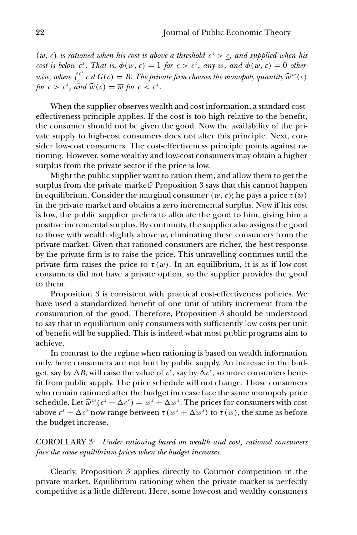$(w, c)$  *is rationed when his cost is above a threshold*  $c<sup>s</sup> > c$ , *and supplied when his cost is below c<sup><i>s*</sup>. That is,  $\phi(w, c) = 1$  *for*  $c > c^s$ *, any w, and*  $\phi(w, c) = 0$  *otherwise, where*  $\int_{c}^{c^{s}} c dG(c) = B$ . The private firm chooses the monopoly quantity  $\widehat{w}^{m}(c)$ *for*  $c > c^s$ *, and*  $\widehat{w}(c) = \overline{w}$  *for*  $c < c^s$ *.* 

When the supplier observes wealth and cost information, a standard costeffectiveness principle applies. If the cost is too high relative to the benefit, the consumer should not be given the good. Now the availability of the private supply to high-cost consumers does not alter this principle. Next, consider low-cost consumers. The cost-effectiveness principle points against rationing. However, some wealthy and low-cost consumers may obtain a higher surplus from the private sector if the price is low.

Might the public supplier want to ration them, and allow them to get the surplus from the private market? Proposition 3 says that this cannot happen in equilibrium. Consider the marginal consumer  $(w, c)$ ; he pays a price  $\tau(w)$ in the private market and obtains a zero incremental surplus. Now if his cost is low, the public supplier prefers to allocate the good to him, giving him a positive incremental surplus. By continuity, the supplier also assigns the good to those with wealth slightly above  $w$ , eliminating these consumers from the private market. Given that rationed consumers are richer, the best response by the private firm is to raise the price. This unravelling continues until the private firm raises the price to  $\tau(\overline{w})$ . In an equilibrium, it is as if low-cost consumers did not have a private option, so the supplier provides the good to them.

Proposition 3 is consistent with practical cost-effectiveness policies. We have used a standardized benefit of one unit of utility increment from the consumption of the good. Therefore, Proposition 3 should be understood to say that in equilibrium only consumers with sufficiently low costs per unit of benefit will be supplied. This is indeed what most public programs aim to achieve.

In contrast to the regime when rationing is based on wealth information only, here consumers are not hurt by public supply. An increase in the budget, say by  $\Delta B$ , will raise the value of  $c^s$ , say by  $\Delta c^s$ , so more consumers benefit from public supply. The price schedule will not change. Those consumers who remain rationed after the budget increase face the same monopoly price schedule. Let  $\hat{\psi}^m(c^s + \Delta c^s) = w^s + \Delta w^s$ . The prices for consumers with cost above  $c^s + \Delta c^s$  now range between  $\tau(w^s + \Delta w^s)$  to  $\tau(\overline{w})$ , the same as before the budget increase.

COROLLARY 3: *Under rationing based on wealth and cost, rationed consumers face the same equilibrium prices when the budget increases.*

Clearly, Proposition 3 applies directly to Cournot competition in the private market. Equilibrium rationing when the private market is perfectly competitive is a little different. Here, some low-cost and wealthy consumers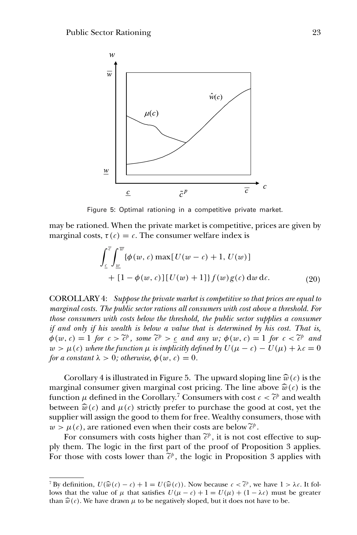

Figure 5: Optimal rationing in a competitive private market.

may be rationed. When the private market is competitive, prices are given by marginal costs,  $\tau(c) = c$ . The consumer welfare index is

$$
\int_{\underline{c}}^{\overline{c}} \int_{\underline{w}}^{\overline{w}} {\{\phi(w, c) \max[U(w - c) + 1, U(w)]\n+ [1 - \phi(w, c)] [U(w) + 1] \} f(w) g(c) \, dw \, dc.}
$$
\n(20)

COROLLARY 4: *Suppose the private market is competitive so that prices are equal to marginal costs. The public sector rations all consumers with cost above a threshold. For those consumers with costs below the threshold, the public sector supplies a consumer if and only if his wealth is below a value that is determined by his cost. That is,*  $\phi(w, c) = 1$  *for*  $c > \tilde{c}^p$ , some  $\tilde{c}^p > c$  *and any*  $w$ ;  $\phi(w, c) = 1$  *for*  $c < \tilde{c}^p$  *and*  $w > \mu(c)$  *where the function*  $\mu$  *is implicitly defined by*  $U(\mu - c) - U(\mu) + \lambda c = 0$ *for a constant*  $\lambda > 0$ *; otherwise,*  $\phi(w, c) = 0$ *.* 

Corollary 4 is illustrated in Figure 5. The upward sloping line  $\hat{w}(c)$  is the marginal consumer given marginal cost pricing. The line above  $\hat{w}(c)$  is the function  $\mu$  defined in the Corollary.<sup>7</sup> Consumers with cost  $c < \tilde{c}^p$  and wealth between  $\hat{w}(c)$  and  $\mu(c)$  strictly prefer to purchase the good at cost, yet the supplier will assign the good to them for free. Wealthy consumers, those with  $w > \mu(c)$ , are rationed even when their costs are below  $\tilde{c}^p$ .

For consumers with costs higher than  $\tilde{c}^p$ , it is not cost effective to supply them. The logic in the first part of the proof of Proposition 3 applies. For those with costs lower than  $\tilde{c}^p$ , the logic in Proposition 3 applies with

<sup>&</sup>lt;sup>7</sup> By definition,  $U(\widehat{w}(c) - c) + 1 = U(\widehat{w}(c))$ . Now because  $c < \widetilde{c}^p$ , we have  $1 > \lambda c$ . It follows that the value of  $\mu$  that satisfies  $U(\mu - c) + 1 = U(\mu) + (1 - \lambda c)$  must be greater than  $\hat{w}(c)$ . We have drawn  $\mu$  to be negatively sloped, but it does not have to be.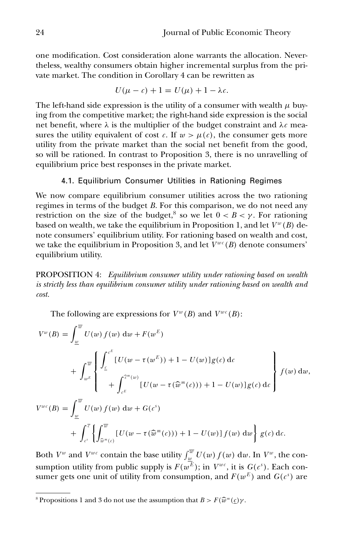one modification. Cost consideration alone warrants the allocation. Nevertheless, wealthy consumers obtain higher incremental surplus from the private market. The condition in Corollary 4 can be rewritten as

$$
U(\mu - c) + 1 = U(\mu) + 1 - \lambda c.
$$

The left-hand side expression is the utility of a consumer with wealth  $\mu$  buying from the competitive market; the right-hand side expression is the social net benefit, where  $\lambda$  is the multiplier of the budget constraint and  $\lambda c$  measures the utility equivalent of cost  $c$ . If  $w > \mu(c)$ , the consumer gets more utility from the private market than the social net benefit from the good, so will be rationed. In contrast to Proposition 3, there is no unravelling of equilibrium price best responses in the private market.

### 4.1. Equilibrium Consumer Utilities in Rationing Regimes

We now compare equilibrium consumer utilities across the two rationing regimes in terms of the budget *B*. For this comparison, we do not need any restriction on the size of the budget,<sup>8</sup> so we let  $0 < B < \gamma$ . For rationing based on wealth, we take the equilibrium in Proposition 1, and let  $V^w(B)$  denote consumers' equilibrium utility. For rationing based on wealth and cost, we take the equilibrium in Proposition 3, and let  $V^{wc}(B)$  denote consumers' equilibrium utility.

PROPOSITION 4: *Equilibrium consumer utility under rationing based on wealth is strictly less than equilibrium consumer utility under rationing based on wealth and cost.*

The following are expressions for  $V^w(B)$  and  $V^{w}(\mathcal{B})$ :

$$
V^{w}(B) = \int_{\underline{w}}^{\overline{w}} U(w) f(w) dw + F(w^{E})
$$
  
+ 
$$
\int_{w^{E}}^{\overline{w}} \left\{ \int_{\underline{c}}^{c^{E}} [U(w - \tau(w^{E})) + 1 - U(w)] g(c) dc + \int_{c^{E}}^{\overline{w}} [U(w - \tau(\widehat{w}^{m}(c))) + 1 - U(w)] g(c) dc \right\}
$$
  

$$
= \int_{\overline{w}}^{\overline{w}} \left\{ \int_{c^{E}}^{\overline{w}(w)} [U(w - \tau(\widehat{w}^{m}(c))) + 1 - U(w)] g(c) dc \right\}
$$

$$
V^{wc}(B) = \int_{\underline{w}}^{\underline{w}} U(w) f(w) dw + G(c^{s})
$$
  
+ 
$$
\int_{c^{s}}^{\overline{c}} \left\{ \int_{\widehat{w}^{m}(c)}^{\overline{w}} [U(w - \tau(\widehat{w}^{m}(c))) + 1 - U(w)] f(w) dw \right\} g(c) dc.
$$

Both  $V^w$  and  $V^{w}$  contain the base utility  $\int_{\frac{w}{\omega}}^{\overline{w}} U(w) f(w) \, \mathrm{d}w$ . In  $V^w$ , the consumption utility from public supply is  $F(w^{\overline{E}})$ ; in  $V^{wc}$ , it is  $G(c^s)$ . Each consumer gets one unit of utility from consumption, and  $F(w^E)$  and  $G(c^s)$  are

<sup>&</sup>lt;sup>8</sup> Propositions 1 and 3 do not use the assumption that  $B > F(\hat{\omega}^m(\epsilon))$ .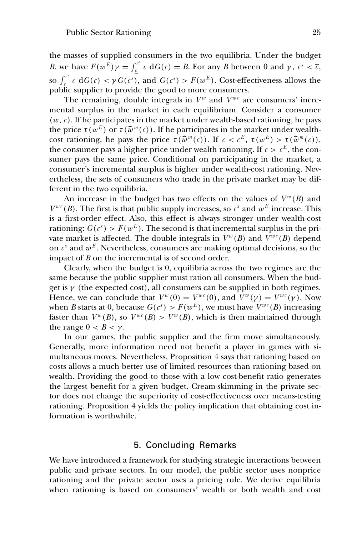the masses of supplied consumers in the two equilibria. Under the budget *B*, we have  $F(w^E)\gamma = \int_{\underline{c}}^{c^s} c \ dG(c) = B$ . For any *B* between 0 and  $\gamma$ ,  $c^s < \overline{c}$ , so  $\int_{c}^{c^{s}} c \, dG(c) < \gamma G(c^{s})$ , and  $G(c^{s}) > F(w^{E})$ . Cost-effectiveness allows the public supplier to provide the good to more consumers.

The remaining, double integrals in  $V^w$  and  $V^{w\ell}$  are consumers' incremental surplus in the market in each equilibrium. Consider a consumer (*w*,*c*). If he participates in the market under wealth-based rationing, he pays the price  $\tau(w^E)$  or  $\tau(\hat{w}^m(c))$ . If he participates in the market under wealthcost rationing, he pays the price  $\tau(\widehat{w}^m(c))$ . If  $c < c^E$ ,  $\tau(w^E) > \tau(\widehat{w}^m(c))$ , the consumer pays a higher price under wealth rationing. If  $c > c<sup>E</sup>$ , the consumer pays the same price. Conditional on participating in the market, a consumer's incremental surplus is higher under wealth-cost rationing. Nevertheless, the sets of consumers who trade in the private market may be different in the two equilibria.

An increase in the budget has two effects on the values of  $V^w(B)$  and  $V^{wc}(B)$ . The first is that public supply increases, so  $c<sup>s</sup>$  and  $w<sup>E</sup>$  increase. This is a first-order effect. Also, this effect is always stronger under wealth-cost rationing:  $G(c^s) > F(w^E)$ . The second is that incremental surplus in the private market is affected. The double integrals in  $V^w(B)$  and  $V^{w_c}(B)$  depend on  $c^s$  and  $w^E$ . Nevertheless, consumers are making optimal decisions, so the impact of *B* on the incremental is of second order.

Clearly, when the budget is 0, equilibria across the two regimes are the same because the public supplier must ration all consumers. When the budget is  $\gamma$  (the expected cost), all consumers can be supplied in both regimes. Hence, we can conclude that  $V^w(0) = V^{w_c}(0)$ , and  $V^w(\gamma) = V^{w_c}(\gamma)$ . Now when *B* starts at 0, because  $G(c^s) > F(w^E)$ , we must have  $V^{wc}(B)$  increasing faster than  $V^w(B)$ , so  $V^{w}(\mathcal{B}) > V^w(\mathcal{B})$ , which is then maintained through the range  $0 < B < \gamma$ .

In our games, the public supplier and the firm move simultaneously. Generally, more information need not benefit a player in games with simultaneous moves. Nevertheless, Proposition 4 says that rationing based on costs allows a much better use of limited resources than rationing based on wealth. Providing the good to those with a low cost-benefit ratio generates the largest benefit for a given budget. Cream-skimming in the private sector does not change the superiority of cost-effectiveness over means-testing rationing. Proposition 4 yields the policy implication that obtaining cost information is worthwhile.

# 5. Concluding Remarks

We have introduced a framework for studying strategic interactions between public and private sectors. In our model, the public sector uses nonprice rationing and the private sector uses a pricing rule. We derive equilibria when rationing is based on consumers' wealth or both wealth and cost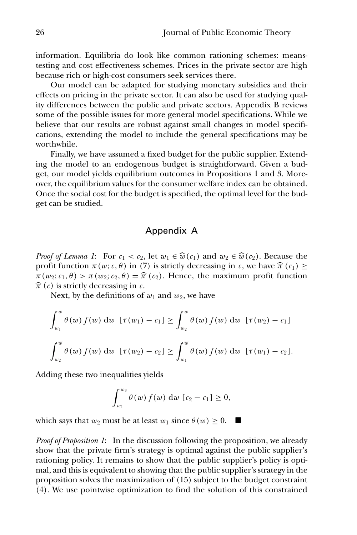information. Equilibria do look like common rationing schemes: meanstesting and cost effectiveness schemes. Prices in the private sector are high because rich or high-cost consumers seek services there.

Our model can be adapted for studying monetary subsidies and their effects on pricing in the private sector. It can also be used for studying quality differences between the public and private sectors. Appendix B reviews some of the possible issues for more general model specifications. While we believe that our results are robust against small changes in model specifications, extending the model to include the general specifications may be worthwhile.

Finally, we have assumed a fixed budget for the public supplier. Extending the model to an endogenous budget is straightforward. Given a budget, our model yields equilibrium outcomes in Propositions 1 and 3. Moreover, the equilibrium values for the consumer welfare index can be obtained. Once the social cost for the budget is specified, the optimal level for the budget can be studied.

# Appendix A

*Proof of Lemma 1*: For  $c_1 < c_2$ , let  $w_1 \in \hat{w}(c_1)$  and  $w_2 \in \hat{w}(c_2)$ . Because the profit function  $\pi(w; c, \theta)$  in (7) is strictly decreasing in *c*, we have  $\hat{\pi}(c_1) \ge$  $\pi(w_2; c_1, \theta) > \pi(w_2; c_2, \theta) = \hat{\pi}(c_2)$ . Hence, the maximum profit function  $\hat{\pi}(c)$  is strictly decreasing in c.

Next, by the definitions of  $w_1$  and  $w_2$ , we have

$$
\int_{w_1}^{\overline{w}} \theta(w) f(w) dw \, [\tau(w_1) - c_1] \geq \int_{w_2}^{\overline{w}} \theta(w) f(w) dw \, [\tau(w_2) - c_1]
$$
\n
$$
\int_{w_2}^{\overline{w}} \theta(w) f(w) dw \, [\tau(w_2) - c_2] \geq \int_{w_1}^{\overline{w}} \theta(w) f(w) dw \, [\tau(w_1) - c_2].
$$

Adding these two inequalities yields

$$
\int_{w_1}^{w_2} \theta(w) f(w) \, dw \, [c_2 - c_1] \geq 0,
$$

which says that  $w_2$  must be at least  $w_1$  since  $\theta(w) \geq 0$ .

*Proof of Proposition 1*: In the discussion following the proposition, we already show that the private firm's strategy is optimal against the public supplier's rationing policy. It remains to show that the public supplier's policy is optimal, and this is equivalent to showing that the public supplier's strategy in the proposition solves the maximization of (15) subject to the budget constraint (4). We use pointwise optimization to find the solution of this constrained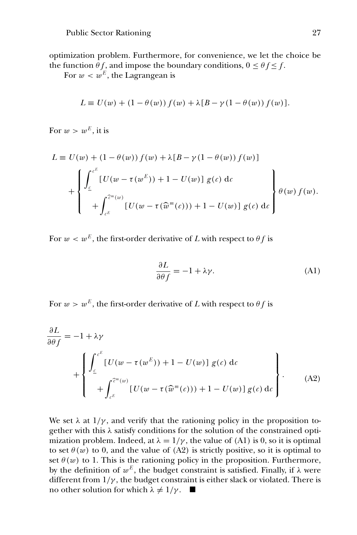optimization problem. Furthermore, for convenience, we let the choice be the function  $\theta f$ , and impose the boundary conditions,  $0 \le \theta f \le f$ .

For  $w < w^E$ , the Lagrangean is

$$
L \equiv U(w) + (1 - \theta(w)) f(w) + \lambda [B - \gamma (1 - \theta(w)) f(w)].
$$

For  $w > w^E$ , it is

$$
L \equiv U(w) + (1 - \theta(w)) f(w) + \lambda [B - \gamma (1 - \theta(w)) f(w)]
$$
  
+ 
$$
\left\{ \int_{\underline{c}}^{c^E} [U(w - \tau(w^E)) + 1 - U(w)] g(c) dc + \int_{c^E}^{\widehat{c}^m(w)} [U(w - \tau(\widehat{w}^m(c))) + 1 - U(w)] g(c) dc \right\} \theta(w) f(w).
$$

For  $w < w^E$ , the first-order derivative of *L* with respect to  $\theta f$  is

$$
\frac{\partial L}{\partial \theta f} = -1 + \lambda \gamma.
$$
 (A1)

For  $w > w^E$ , the first-order derivative of *L* with respect to  $\theta f$  is

$$
\frac{\partial L}{\partial \theta f} = -1 + \lambda \gamma
$$
\n
$$
+ \left\{ \int_{c}^{c^{E}} \left[ U(w - \tau(w^{E})) + 1 - U(w) \right] g(c) \, \mathrm{d}c + \int_{c^{E}}^{c^{m}(w)} \left[ U(w - \tau(\widehat{w}^{m}(c))) + 1 - U(w) \right] g(c) \, \mathrm{d}c \right\}.
$$
\n(A2)

We set  $\lambda$  at  $1/\gamma$ , and verify that the rationing policy in the proposition together with this λ satisfy conditions for the solution of the constrained optimization problem. Indeed, at  $\lambda = 1/\gamma$ , the value of (A1) is 0, so it is optimal to set  $\theta(w)$  to 0, and the value of (A2) is strictly positive, so it is optimal to set  $\theta(w)$  to 1. This is the rationing policy in the proposition. Furthermore, by the definition of  $w^E$ , the budget constraint is satisfied. Finally, if  $\lambda$  were different from  $1/\gamma$ , the budget constraint is either slack or violated. There is no other solution for which  $\lambda \neq 1/\gamma$ .  $\blacksquare$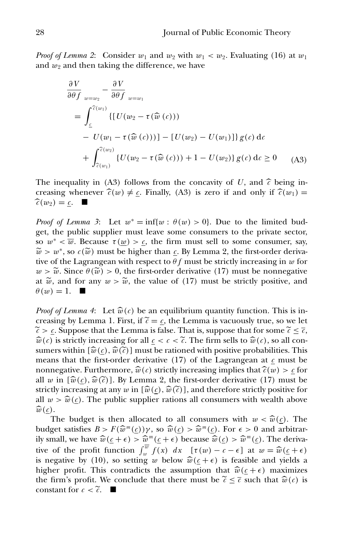*Proof of Lemma 2*: Consider  $w_1$  and  $w_2$  with  $w_1 < w_2$ . Evaluating (16) at  $w_1$ and  $w_2$  and then taking the difference, we have

$$
\frac{\partial V}{\partial \theta f} = \frac{\partial V}{\partial \theta f} \Big|_{w=w_1}
$$
\n
$$
= \int_{\underline{c}}^{\widehat{c}(w_1)} \{ [U(w_2 - \tau(\widehat{w}(c))) - U(w_1 - \tau(\widehat{w}(c)))] - [U(w_2) - U(w_1)] \} g(c) dc
$$
\n
$$
+ \int_{\widehat{c}(w_1)}^{\widehat{c}(w_2)} \{ U(w_2 - \tau(\widehat{w}(c))) + 1 - U(w_2) \} g(c) dc \ge 0 \quad (A3)
$$

The inequality in (A3) follows from the concavity of U, and  $\hat{c}$  being increasing whenever  $\hat{c}(w) \neq c$ . Finally, (A3) is zero if and only if  $\hat{c}(w_1)$  =  $\widehat{c}(w_2) = \underline{c}.$ 

*Proof of Lemma 3*: Let  $w^* = \inf\{w : \theta(w) > 0\}$ . Due to the limited budget, the public supplier must leave some consumers to the private sector, so  $w^* < \overline{w}$ . Because  $\tau(\underline{w}) > \underline{c}$ , the firm must sell to some consumer, say,  $\widetilde{w} > w^*$ , so  $c(\widetilde{w})$  must be higher than *c*. By Lemma 2, the first-order derivative of the Lagrangean with respect to  $\theta f$  must be strictly increasing in *w* for  $w > \tilde{w}$ . Since  $\theta(\tilde{w}) > 0$ , the first-order derivative (17) must be nonnegative at  $\tilde{w}$ , and for any  $w > \tilde{w}$ , the value of (17) must be strictly positive, and  $\theta(w) = 1.$ 

*Proof of Lemma 4*: Let  $\hat{w}(c)$  be an equilibrium quantity function. This is increasing by Lemma 1. First, if  $\tilde{c} = c$ , the Lemma is vacuously true, so we let  $\tilde{c} > c$ . Suppose that the Lemma is false. That is, suppose that for some  $\tilde{c} \leq \overline{c}$ ,  $\hat{w}(c)$  is strictly increasing for all  $c < c < \tilde{c}$ . The firm sells to  $\hat{w}(c)$ , so all consumers within  $\left[\widehat{w}(c), \widehat{w}(\widetilde{c})\right]$  must be rationed with positive probabilities. This means that the first-order derivative (17) of the Lagrangean at *c* must be nonnegative. Furthermore,  $\hat{w}(c)$  strictly increasing implies that  $\hat{c}(w) > c$  for all *w* in  $[\widehat{w}(\underline{c}), \widehat{w}(\overline{c})]$ . By Lemma 2, the first-order derivative (17) must be strictly increasing at any *w* in  $[\widehat{w}(\underline{c}), \widehat{w}(\widetilde{c})]$ , and therefore strictly positive for all  $w > \hat{w}(\underline{c})$ . The public supplier rations all consumers with wealth above *<sup>w</sup>*(*c*).

The budget is then allocated to all consumers with  $w < \hat{w}(c)$ . The budget satisfies  $B > F(\widehat{w}^m(\underline{c}))\gamma$ , so  $\widehat{w}(\underline{c}) > \widehat{w}^m(\underline{c})$ . For  $\epsilon > 0$  and arbitrarily small, we have  $\widehat{w}(\underline{c} + \epsilon) > \widehat{w}^m(\underline{c} + \epsilon)$  because  $\widehat{w}(\underline{c}) > \widehat{w}^m(\underline{c})$ . The derivative of the profit function  $\int_{w}^{\overline{w}} f(x) dx$  [ $\tau(w) - c - \epsilon$ ] at  $w = \widehat{w}(\underline{c} + \epsilon)$ is negative by (10), so setting *w* below  $\widehat{w}(\underline{c} + \epsilon)$  is feasible and yields a higher profit. This contradicts the assumption that  $\widehat{w}(\underline{c} + \epsilon)$  maximizes the firm's profit. We conclude that there must be  $\tilde{c} \leq \overline{c}$  such that  $\hat{w}(c)$  is constant for  $c < \tilde{c}$ . constant for  $c < \tilde{c}$ .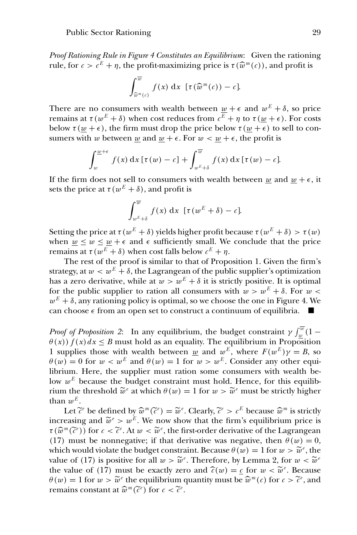*Proof Rationing Rule in Figure 4 Constitutes an Equilibrium*: Given the rationing rule, for  $c > c^E + \eta$ , the profit-maximizing price is  $\tau(\hat{w}^m(c))$ , and profit is

$$
\int_{\widehat{w}^m(c)}^{\overline{w}} f(x) \, dx \, [\tau(\widehat{w}^m(c)) - c].
$$

There are no consumers with wealth between  $\underline{w} + \epsilon$  and  $w^E + \delta$ , so price remains at  $\tau(w^E + \delta)$  when cost reduces from  $c^E + \eta$  to  $\tau(\underline{w} + \epsilon)$ . For costs below  $\tau(\underline{w} + \epsilon)$ , the firm must drop the price below  $\tau(\underline{w} + \epsilon)$  to sell to consumers with *w* between <u>*w*</u> and <u>*w*</u> +  $\epsilon$ . For *w* < <u>*w*</u> +  $\epsilon$ , the profit is

$$
\int_{w}^{\overline{w}+\epsilon} f(x) dx [\tau(w) - c] + \int_{w^E+\delta}^{\overline{w}} f(x) dx [\tau(w) - c].
$$

If the firm does not sell to consumers with wealth between  $\underline{w}$  and  $\underline{w} + \epsilon$ , it sets the price at  $\tau(w^E + \delta)$ , and profit is

$$
\int_{w^E+\delta}^{\overline{w}} f(x) \, \mathrm{d}x \, \, [\tau(w^E+\delta)-c].
$$

Setting the price at  $\tau(w^E + \delta)$  yields higher profit because  $\tau(w^E + \delta) > \tau(w)$ when  $\underline{w} \leq w \leq \underline{w} + \epsilon$  and  $\epsilon$  sufficiently small. We conclude that the price remains at  $\tau(w^E + \delta)$  when cost falls below  $c^E + \eta$ .

The rest of the proof is similar to that of Proposition 1. Given the firm's strategy, at  $w < w<sup>E</sup> + \delta$ , the Lagrangean of the public supplier's optimization has a zero derivative, while at  $w > w^E + \delta$  it is strictly positive. It is optimal for the public supplier to ration all consumers with  $w > w<sup>E</sup> + \delta$ . For  $w <$  $w<sup>E</sup> + \delta$ , any rationing policy is optimal, so we choose the one in Figure 4. We can choose  $\epsilon$  from an open set to construct a continuum of equilibria.  $\blacksquare$ 

*Proof of Proposition 2:* In any equilibrium, the budget constraint  $\gamma \int_{w}^{\overline{w}} (1 \theta(x)$ )  $f(x)dx \leq B$  must hold as an equality. The equilibrium in Proposition 1 supplies those with wealth between *w* and  $w^E$ , where  $F(w^E)\gamma = B$ , so  $\theta(w) = 0$  for  $w < w^E$  and  $\theta(w) = 1$  for  $w > w^E$ . Consider any other equilibrium. Here, the supplier must ration some consumers with wealth below  $w<sup>E</sup>$  because the budget constraint must hold. Hence, for this equilibrium the threshold  $\tilde{w}^e$  at which  $\theta(w) = 1$  for  $w > \tilde{w}^e$  must be strictly higher than  $w^E$ .

Let  $\tilde{c}^e$  be defined by  $\hat{w}^m(\tilde{c}^e) = \tilde{w}^e$ . Clearly,  $\tilde{c}^e > c^E$  because  $\hat{w}^m$  is strictly increasing and  $\tilde{w}^e > w^E$ . We now show that the firm's equilibrium price is  $\tau(\widehat{w}^m(\widetilde{c}^e))$  for  $c < \widetilde{c}^e$ . At  $w < \widetilde{w}^e$ , the first-order derivative of the Lagrangean (17) must be nonnegative; if that derivative was negative, then  $\theta(w) = 0$ , which would violate the budget constraint. Because  $\theta(w) = 1$  for  $w > \tilde{w}^e$ , the value of (17) is positive for all  $w > \tilde{w}^e$ . Therefore, by Lemma 2, for  $w < \tilde{w}^e$ the value of (17) must be exactly zero and  $\hat{c}(w) = c$  for  $w < \tilde{w}^e$ . Because  $\theta(w) = 1$  for  $w > \tilde{w}^e$  the equilibrium quantity must be  $\hat{w}^m(c)$  for  $c > \tilde{c}^e$ , and remains constant at  $\widehat{w}^m(\widetilde{c}^e)$  for  $c < \widetilde{c}^e$ .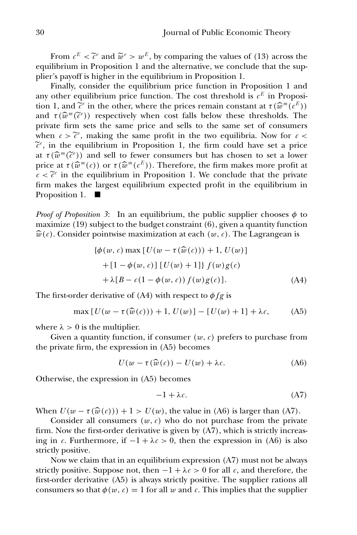From  $c^E < \tilde{c}^e$  and  $\tilde{w}^e > w^E$ , by comparing the values of (13) across the equilibrium in Proposition 1 and the alternative, we conclude that the supplier's payoff is higher in the equilibrium in Proposition 1.

Finally, consider the equilibrium price function in Proposition 1 and any other equilibrium price function. The cost threshold is  $c<sup>E</sup>$  in Proposition 1, and  $\tilde{c}^e$  in the other, where the prices remain constant at  $\tau(\hat{w}^m(c^E))$ and  $\tau(\hat{w}^m(\tilde{c}^e))$  respectively when cost falls below these thresholds. The private firm sets the same price and sells to the same set of consumers when  $c > \tilde{c}^e$ , making the same profit in the two equilibria. Now for  $c <$  $\tilde{c}^e$ , in the equilibrium in Proposition 1, the firm could have set a price at  $\tau(\widehat{w}^m(\widetilde{c}^e))$  and sell to fewer consumers but has chosen to set a lower price at  $\tau(\hat{\omega}^m(c))$  or  $\tau(\hat{\omega}^m(c^E))$ . Therefore, the firm makes more profit at  $c < \tilde{c}^e$  in the equilibrium in Proposition 1. We conclude that the private firm makes the largest equilibrium expected profit in the equilibrium in Proposition 1.  $\blacksquare$ 

*Proof of Proposition 3*: In an equilibrium, the public supplier chooses  $\phi$  to maximize (19) subject to the budget constraint (6), given a quantity function  $\hat{w}(c)$ . Consider pointwise maximization at each  $(w, c)$ . The Lagrangean is

$$
\{\phi(w, c) \max [U(w - \tau(\widehat{w}(c))) + 1, U(w)]+ [1 - \phi(w, c)] [U(w) + 1] \} f(w) g(c)+ \lambda [B - c(1 - \phi(w, c)) f(w) g(c)].
$$
 (A4)

The first-order derivative of (A4) with respect to  $\phi fg$  is

$$
\max [U(w - \tau(\widehat{w}(c))) + 1, U(w)] - [U(w) + 1] + \lambda c,
$$
 (A5)

where  $\lambda > 0$  is the multiplier.

Given a quantity function, if consumer (*w*,*c*) prefers to purchase from the private firm, the expression in (A5) becomes

$$
U(w - \tau(\widehat{w}(c)) - U(w) + \lambda c. \tag{A6}
$$

Otherwise, the expression in (A5) becomes

$$
-1 + \lambda c. \tag{A7}
$$

When  $U(w - \tau(\widehat{w}(c))) + 1 > U(w)$ , the value in (A6) is larger than (A7).

Consider all consumers  $(w, c)$  who do not purchase from the private firm. Now the first-order derivative is given by (A7), which is strictly increasing in *c*. Furthermore, if  $-1 + \lambda c > 0$ , then the expression in (A6) is also strictly positive.

Now we claim that in an equilibrium expression (A7) must not be always strictly positive. Suppose not, then  $-1 + \lambda c > 0$  for all *c*, and therefore, the first-order derivative (A5) is always strictly positive. The supplier rations all consumers so that  $\phi(w, c) = 1$  for all *w* and *c*. This implies that the supplier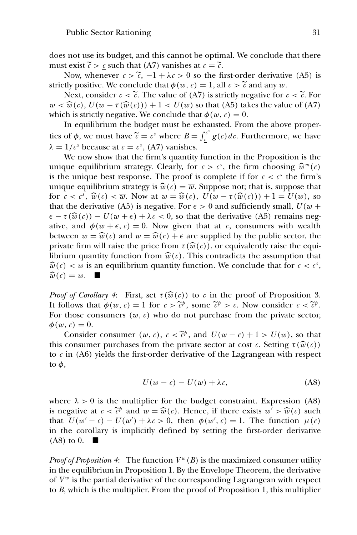does not use its budget, and this cannot be optimal. We conclude that there must exist  $\tilde{c} > c$  such that (A7) vanishes at  $c = \tilde{c}$ .

Now, whenever  $c > \tilde{c}$ ,  $-1 + \lambda c > 0$  so the first-order derivative (A5) is strictly positive. We conclude that  $\phi(w, c) = 1$ , all  $c > \tilde{c}$  and any *w*.

Next, consider  $c < \tilde{c}$ . The value of (A7) is strictly negative for  $c < \tilde{c}$ . For  $w < \widehat{w}(c)$ ,  $U(w - \tau(\widehat{w}(c))) + 1 < U(w)$  so that (A5) takes the value of (A7) which is strictly negative. We conclude that  $\phi(w, c) = 0$ .

In equilibrium the budget must be exhausted. From the above properties of  $\phi$ , we must have  $\tilde{c} = c^s$  where  $B = \int_{c}^{c^s} g(c) dc$ . Furthermore, we have  $\lambda = 1/c^s$  because at  $c = c^s$ , (A7) vanishes.

We now show that the firm's quantity function in the Proposition is the unique equilibrium strategy. Clearly, for  $c > c^s$ , the firm choosing  $\hat{\psi}^m(c)$ is the unique best response. The proof is complete if for  $c < c<sup>s</sup>$  the firm's unique equilibrium strategy is  $\hat{w}(c) = \overline{w}$ . Suppose not; that is, suppose that for  $c < c^s$ ,  $\widehat{w}(c) < \overline{w}$ . Now at  $w = \widehat{w}(c)$ ,  $U(w - \tau(\widehat{w}(c))) + 1 = U(w)$ , so that the derivative (A5) is negative. For  $\epsilon > 0$  and sufficiently small,  $U(w +$  $\epsilon - \tau(\widehat{w}(c)) - U(w + \epsilon) + \lambda c < 0$ , so that the derivative (A5) remains negative, and  $\phi(w + \epsilon, c) = 0$ . Now given that at *c*, consumers with wealth between  $w = \widehat{w}(c)$  and  $w = \widehat{w}(c) + \epsilon$  are supplied by the public sector, the private firm will raise the price from  $\tau(\widehat{w}(c))$ , or equivalently raise the equilibrium quantity function from  $\hat{w}(c)$ . This contradicts the assumption that  $\hat{w}(c) < \overline{w}$  is an equilibrium quantity function. We conclude that for  $c < c<sup>s</sup>$ ,  $\widehat{w}(c) = \overline{w}$ .

*Proof of Corollary 4*: First, set  $\tau(\widehat{w}(c))$  to *c* in the proof of Proposition 3. It follows that  $\phi(w, c) = 1$  for  $c > \tilde{c}^p$ , some  $\tilde{c}^p > c$ . Now consider  $c < \tilde{c}^p$ . For those consumers  $(w, c)$  who do not purchase from the private sector,  $\phi(w, c) = 0.$ 

Consider consumer  $(w, c)$ ,  $c < \tilde{c}^p$ , and  $U(w - c) + 1 > U(w)$ , so that this consumer purchases from the private sector at cost *c*. Setting  $\tau(\widehat{w}(c))$ to  $c$  in (A6) yields the first-order derivative of the Lagrangean with respect to  $\phi$ ,

$$
U(w-c) - U(w) + \lambda c, \tag{A8}
$$

where  $\lambda > 0$  is the multiplier for the budget constraint. Expression (A8) is negative at  $c < \tilde{c}^p$  and  $w = \hat{w}(c)$ . Hence, if there exists  $w' > \hat{w}(c)$  such that  $U(w'-c) - U(w') + \lambda c > 0$ , then  $\phi(w', c) = 1$ . The function  $\mu(c)$ in the corollary is implicitly defined by setting the first-order derivative  $(AB)$  to 0.  $\blacksquare$ 

*Proof of Proposition 4*: The function  $V^w(B)$  is the maximized consumer utility in the equilibrium in Proposition 1. By the Envelope Theorem, the derivative of *V <sup>w</sup>* is the partial derivative of the corresponding Lagrangean with respect to *B*, which is the multiplier. From the proof of Proposition 1, this multiplier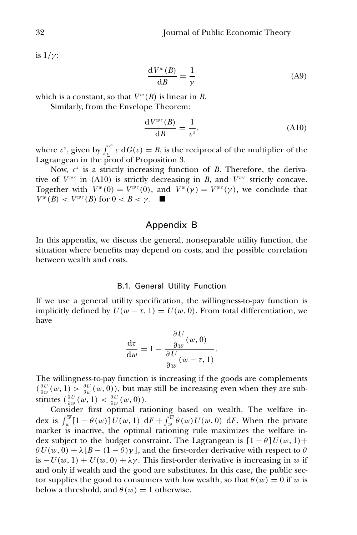is  $1/\gamma$ :

$$
\frac{\mathrm{d}V^w(B)}{\mathrm{d}B} = \frac{1}{\gamma} \tag{A9}
$$

which is a constant, so that  $V^w(B)$  is linear in *B*.

Similarly, from the Envelope Theorem:

$$
\frac{\mathrm{d}V^{wc}(B)}{\mathrm{d}B} = \frac{1}{c^s},\tag{A10}
$$

where  $c^s$ , given by  $\int_{c}^{c^s} c \, dG(c) = B$ , is the reciprocal of the multiplier of the Lagrangean in the proof of Proposition 3.

Now, *c<sup>s</sup>* is a strictly increasing function of *B*. Therefore, the derivative of  $V^{wc}$  in (A10) is strictly decreasing in *B*, and  $V^{wc}$  strictly concave. Together with  $V^w(0) = V^{w_c}(0)$ , and  $V^w(\gamma) = V^{w_c}(\gamma)$ , we conclude that  $V^w(B) < V^{w_c}(B)$  for  $0 < B < \gamma$ .

# Appendix B

In this appendix, we discuss the general, nonseparable utility function, the situation where benefits may depend on costs, and the possible correlation between wealth and costs.

## B.1. General Utility Function

If we use a general utility specification, the willingness-to-pay function is implicitly defined by  $U(w - \tau, 1) = U(w, 0)$ . From total differentiation, we have

$$
\frac{\mathrm{d}\tau}{\mathrm{d}w} = 1 - \frac{\frac{\partial U}{\partial w}(w,0)}{\frac{\partial U}{\partial w}(w-\tau,1)}.
$$

The willingness-to-pay function is increasing if the goods are complements  $\left(\frac{\partial U}{\partial w}(w,1)\right) > \frac{\partial U}{\partial w}(w,0)$ , but may still be increasing even when they are substitutes  $\left(\frac{\partial U}{\partial w}(w,1) < \frac{\partial U}{\partial w}(w,0)\right)$ .

Consider first optimal rationing based on wealth. The welfare index is  $\int_{w}^{\overline{w}} [1 - \theta(w)] U(w, 1) \, \mathrm{d}F + \int_{w}^{\overline{w}} \theta(w) U(w, 0) \, \mathrm{d}F$ . When the private market is inactive, the optimal rationing rule maximizes the welfare index subject to the budget constraint. The Lagrangean is  $[1 - \theta]U(w, 1)$ +  $\theta U(w, 0) + \lambda [B - (1 - \theta) \gamma]$ , and the first-order derivative with respect to  $\theta$ is  $-U(w, 1) + U(w, 0) + \lambda \gamma$ . This first-order derivative is increasing in *w* if and only if wealth and the good are substitutes. In this case, the public sector supplies the good to consumers with low wealth, so that  $\theta(w) = 0$  if *w* is below a threshold, and  $\theta(w) = 1$  otherwise.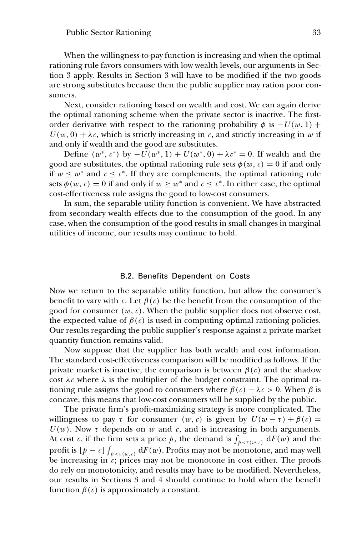When the willingness-to-pay function is increasing and when the optimal rationing rule favors consumers with low wealth levels, our arguments in Section 3 apply. Results in Section 3 will have to be modified if the two goods are strong substitutes because then the public supplier may ration poor consumers.

Next, consider rationing based on wealth and cost. We can again derive the optimal rationing scheme when the private sector is inactive. The firstorder derivative with respect to the rationing probability  $\phi$  is  $-U(w, 1)$  +  $U(w, 0) + \lambda c$ , which is strictly increasing in *c*, and strictly increasing in *w* if and only if wealth and the good are substitutes.

Define  $(w^*, c^*)$  by  $-U(w^*, 1) + U(w^*, 0) + \lambda c^* = 0$ . If wealth and the good are substitutes, the optimal rationing rule sets  $\phi(w, c) = 0$  if and only if  $w \leq w^*$  and  $c \leq c^*$ . If they are complements, the optimal rationing rule sets  $\phi(w, c) = 0$  if and only if  $w \geq w^*$  and  $c \leq c^*$ . In either case, the optimal cost-effectiveness rule assigns the good to low-cost consumers.

In sum, the separable utility function is convenient. We have abstracted from secondary wealth effects due to the consumption of the good. In any case, when the consumption of the good results in small changes in marginal utilities of income, our results may continue to hold.

#### B.2. Benefits Dependent on Costs

Now we return to the separable utility function, but allow the consumer's benefit to vary with *c*. Let  $\beta(c)$  be the benefit from the consumption of the good for consumer (*w*,*c*). When the public supplier does not observe cost, the expected value of  $\beta(c)$  is used in computing optimal rationing policies. Our results regarding the public supplier's response against a private market quantity function remains valid.

Now suppose that the supplier has both wealth and cost information. The standard cost-effectiveness comparison will be modified as follows. If the private market is inactive, the comparison is between  $\beta(c)$  and the shadow cost  $\lambda c$  where  $\lambda$  is the multiplier of the budget constraint. The optimal rationing rule assigns the good to consumers where  $\beta(c) - \lambda c > 0$ . When  $\beta$  is concave, this means that low-cost consumers will be supplied by the public.

The private firm's profit-maximizing strategy is more complicated. The willingness to pay  $\tau$  for consumer  $(w, c)$  is given by  $U(w - \tau) + \beta(c) =$  $U(w)$ . Now  $\tau$  depends on  $w$  and  $c$ , and is increasing in both arguments. At cost *c*, if the firm sets a price *p*, the demand is  $\int_{p < \tau(w,c)} dF(w)$  and the profit is  $[p - c] \int_{p < \tau(w, c)} dF(w)$ . Profits may not be monotone, and may well be increasing in  $\vec{c}$ ; prices may not be monotone in cost either. The proofs do rely on monotonicity, and results may have to be modified. Nevertheless, our results in Sections 3 and 4 should continue to hold when the benefit function  $\beta(c)$  is approximately a constant.